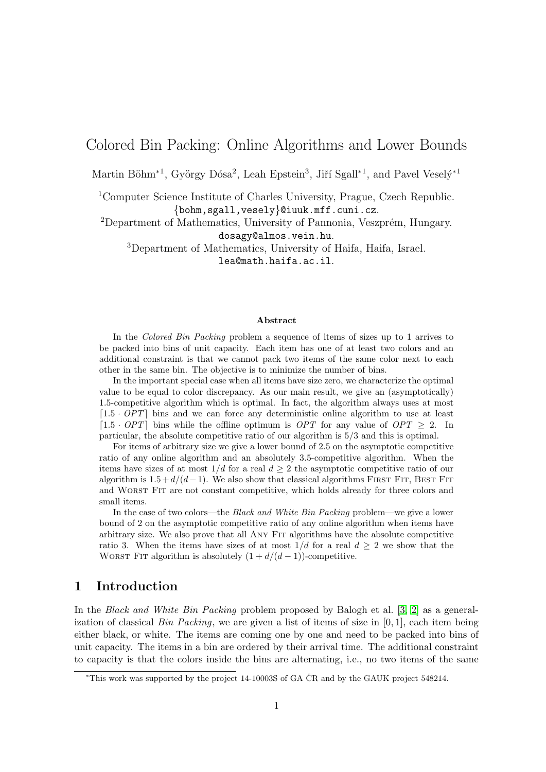# Colored Bin Packing: Online Algorithms and Lower Bounds

Martin Böhm<sup>∗1</sup>, György Dósa<sup>2</sup>, Leah Epstein<sup>3</sup>, Jiří Sgall<sup>∗1</sup>, and Pavel Veselý<sup>∗1</sup>

<sup>1</sup>Computer Science Institute of Charles University, Prague, Czech Republic. {bohm,sgall,vesely}@iuuk.mff.cuni.cz.

<sup>2</sup>Department of Mathematics, University of Pannonia, Veszprém, Hungary.

dosagy@almos.vein.hu.

<sup>3</sup>Department of Mathematics, University of Haifa, Haifa, Israel.

lea@math.haifa.ac.il.

#### Abstract

In the Colored Bin Packing problem a sequence of items of sizes up to 1 arrives to be packed into bins of unit capacity. Each item has one of at least two colors and an additional constraint is that we cannot pack two items of the same color next to each other in the same bin. The objective is to minimize the number of bins.

In the important special case when all items have size zero, we characterize the optimal value to be equal to color discrepancy. As our main result, we give an (asymptotically) 1.5-competitive algorithm which is optimal. In fact, the algorithm always uses at most  $[1.5 \cdot OPT]$  bins and we can force any deterministic online algorithm to use at least  $\begin{bmatrix} 1.5 \cdot OPT \end{bmatrix}$  bins while the offline optimum is *OPT* for any value of *OPT* > 2. In particular, the absolute competitive ratio of our algorithm is 5/3 and this is optimal.

For items of arbitrary size we give a lower bound of 2.5 on the asymptotic competitive ratio of any online algorithm and an absolutely 3.5-competitive algorithm. When the items have sizes of at most  $1/d$  for a real  $d \geq 2$  the asymptotic competitive ratio of our algorithm is  $1.5 + d/(d-1)$ . We also show that classical algorithms FIRST FIT, BEST FIT and Worst Fit are not constant competitive, which holds already for three colors and small items.

In the case of two colors—the Black and White Bin Packing problem—we give a lower bound of 2 on the asymptotic competitive ratio of any online algorithm when items have arbitrary size. We also prove that all Any Fit algorithms have the absolute competitive ratio 3. When the items have sizes of at most  $1/d$  for a real  $d \geq 2$  we show that the WORST FIT algorithm is absolutely  $(1 + d/(d-1))$ -competitive.

### 1 Introduction

In the Black and White Bin Packing problem proposed by Balogh et al. [\[3,](#page-26-0) [2\]](#page-26-1) as a generalization of classical Bin Packing, we are given a list of items of size in  $[0, 1]$ , each item being either black, or white. The items are coming one by one and need to be packed into bins of unit capacity. The items in a bin are ordered by their arrival time. The additional constraint to capacity is that the colors inside the bins are alternating, i.e., no two items of the same

 $*$ This work was supported by the project 14-10003S of GA ČR and by the GAUK project 548214.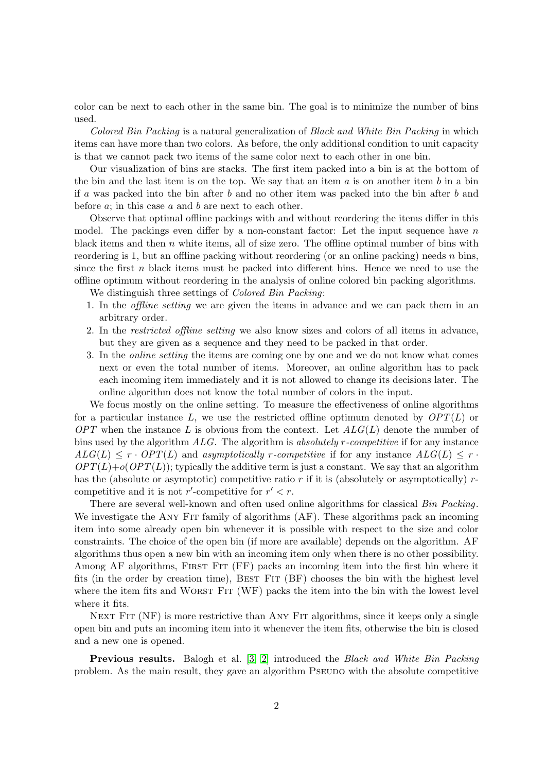color can be next to each other in the same bin. The goal is to minimize the number of bins used.

Colored Bin Packing is a natural generalization of Black and White Bin Packing in which items can have more than two colors. As before, the only additional condition to unit capacity is that we cannot pack two items of the same color next to each other in one bin.

Our visualization of bins are stacks. The first item packed into a bin is at the bottom of the bin and the last item is on the top. We say that an item  $a$  is on another item  $b$  in a bin if  $a$  was packed into the bin after  $b$  and no other item was packed into the bin after  $b$  and before  $a$ ; in this case  $a$  and  $b$  are next to each other.

Observe that optimal offline packings with and without reordering the items differ in this model. The packings even differ by a non-constant factor: Let the input sequence have  $n$ black items and then  $n$  white items, all of size zero. The offline optimal number of bins with reordering is 1, but an offline packing without reordering (or an online packing) needs  $n$  bins, since the first  $n$  black items must be packed into different bins. Hence we need to use the offline optimum without reordering in the analysis of online colored bin packing algorithms.

We distinguish three settings of Colored Bin Packing:

- 1. In the offline setting we are given the items in advance and we can pack them in an arbitrary order.
- 2. In the restricted offline setting we also know sizes and colors of all items in advance, but they are given as a sequence and they need to be packed in that order.
- 3. In the online setting the items are coming one by one and we do not know what comes next or even the total number of items. Moreover, an online algorithm has to pack each incoming item immediately and it is not allowed to change its decisions later. The online algorithm does not know the total number of colors in the input.

We focus mostly on the online setting. To measure the effectiveness of online algorithms for a particular instance L, we use the restricted offline optimum denoted by  $OPT(L)$  or  $OPT$  when the instance L is obvious from the context. Let  $ALG(L)$  denote the number of bins used by the algorithm  $ALG$ . The algorithm is absolutely r-competitive if for any instance  $ALG(L) \leq r \cdot OPT(L)$  and asymptotically r-competitive if for any instance  $ALG(L) \leq r$ .  $OPT(L)+o(OPT(L))$ ; typically the additive term is just a constant. We say that an algorithm has the (absolute or asymptotic) competitive ratio r if it is (absolutely or asymptotically)  $r$ competitive and it is not r'-competitive for  $r' < r$ .

There are several well-known and often used online algorithms for classical Bin Packing. We investigate the ANY FIT family of algorithms  $(AF)$ . These algorithms pack an incoming item into some already open bin whenever it is possible with respect to the size and color constraints. The choice of the open bin (if more are available) depends on the algorithm. AF algorithms thus open a new bin with an incoming item only when there is no other possibility. Among AF algorithms, FIRST FIT (FF) packs an incoming item into the first bin where it fits (in the order by creation time), Best Fit (BF) chooses the bin with the highest level where the item fits and WORST FIT  $(WF)$  packs the item into the bin with the lowest level where it fits.

NEXT FIT (NF) is more restrictive than ANY FIT algorithms, since it keeps only a single open bin and puts an incoming item into it whenever the item fits, otherwise the bin is closed and a new one is opened.

Previous results. Balogh et al. [\[3,](#page-26-0) [2\]](#page-26-1) introduced the Black and White Bin Packing problem. As the main result, they gave an algorithm PSEUDO with the absolute competitive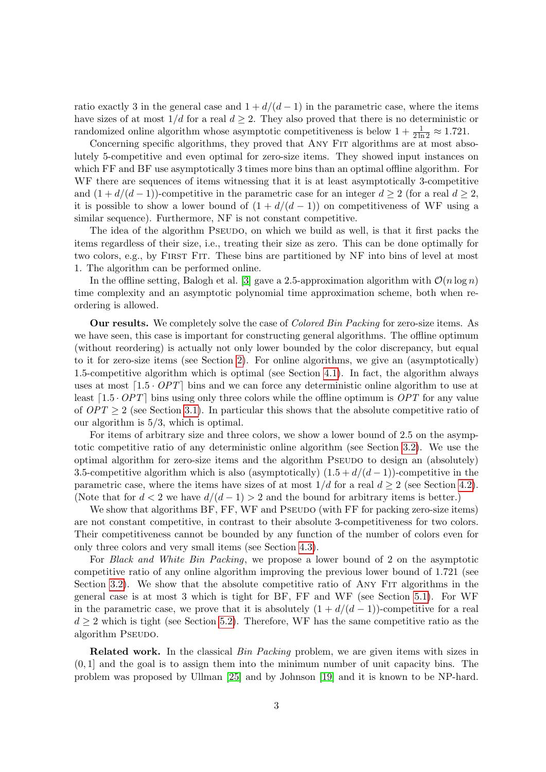ratio exactly 3 in the general case and  $1 + d/(d-1)$  in the parametric case, where the items have sizes of at most  $1/d$  for a real  $d \geq 2$ . They also proved that there is no deterministic or randomized online algorithm whose asymptotic competitiveness is below  $1 + \frac{1}{2 \ln 2} \approx 1.721$ .

Concerning specific algorithms, they proved that Any Fit algorithms are at most absolutely 5-competitive and even optimal for zero-size items. They showed input instances on which FF and BF use asymptotically 3 times more bins than an optimal offline algorithm. For WF there are sequences of items witnessing that it is at least asymptotically 3-competitive and  $(1 + d/(d-1))$ -competitive in the parametric case for an integer  $d \ge 2$  (for a real  $d \ge 2$ , it is possible to show a lower bound of  $(1 + d/(d - 1))$  on competitiveness of WF using a similar sequence). Furthermore, NF is not constant competitive.

The idea of the algorithm PSEUDO, on which we build as well, is that it first packs the items regardless of their size, i.e., treating their size as zero. This can be done optimally for two colors, e.g., by FIRST FIT. These bins are partitioned by NF into bins of level at most 1. The algorithm can be performed online.

In the offline setting, Balogh et al. [\[3\]](#page-26-0) gave a 2.5-approximation algorithm with  $\mathcal{O}(n \log n)$ time complexity and an asymptotic polynomial time approximation scheme, both when reordering is allowed.

**Our results.** We completely solve the case of *Colored Bin Packing* for zero-size items. As we have seen, this case is important for constructing general algorithms. The offline optimum (without reordering) is actually not only lower bounded by the color discrepancy, but equal to it for zero-size items (see Section [2\)](#page-4-0). For online algorithms, we give an (asymptotically) 1.5-competitive algorithm which is optimal (see Section [4.1\)](#page-13-0). In fact, the algorithm always uses at most  $\begin{bmatrix} 1.5 \cdot OPT \end{bmatrix}$  bins and we can force any deterministic online algorithm to use at least  $\lceil 1.5 \cdot OPT \rceil$  bins using only three colors while the offline optimum is OPT for any value of  $OPT \geq 2$  (see Section [3.1\)](#page-8-0). In particular this shows that the absolute competitive ratio of our algorithm is  $5/3$ , which is optimal.

For items of arbitrary size and three colors, we show a lower bound of 2.5 on the asymptotic competitive ratio of any deterministic online algorithm (see Section [3.2\)](#page-10-0). We use the optimal algorithm for zero-size items and the algorithm Pseudo to design an (absolutely) 3.5-competitive algorithm which is also (asymptotically)  $(1.5 + d/(d-1))$ -competitive in the parametric case, where the items have sizes of at most  $1/d$  for a real  $d \geq 2$  (see Section [4.2\)](#page-19-0). (Note that for  $d < 2$  we have  $d/(d-1) > 2$  and the bound for arbitrary items is better.)

We show that algorithms BF, FF, WF and PSEUDO (with FF for packing zero-size items) are not constant competitive, in contrast to their absolute 3-competitiveness for two colors. Their competitiveness cannot be bounded by any function of the number of colors even for only three colors and very small items (see Section [4.3\)](#page-20-0).

For Black and White Bin Packing, we propose a lower bound of 2 on the asymptotic competitive ratio of any online algorithm improving the previous lower bound of 1.721 (see Section [3.2\)](#page-10-0). We show that the absolute competitive ratio of Any Fit algorithms in the general case is at most 3 which is tight for BF, FF and WF (see Section [5.1\)](#page-21-0). For WF in the parametric case, we prove that it is absolutely  $(1 + d/(d - 1))$ -competitive for a real  $d \geq 2$  which is tight (see Section [5.2\)](#page-24-0). Therefore, WF has the same competitive ratio as the algorithm PSEUDO.

Related work. In the classical Bin Packing problem, we are given items with sizes in  $(0, 1]$  and the goal is to assign them into the minimum number of unit capacity bins. The problem was proposed by Ullman [\[25\]](#page-27-0) and by Johnson [\[19\]](#page-27-1) and it is known to be NP-hard.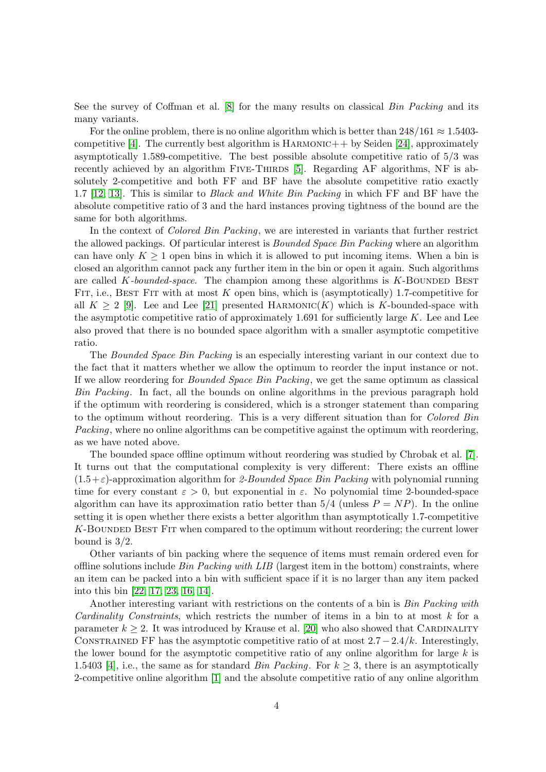See the survey of Coffman et al. [\[8\]](#page-26-2) for the many results on classical *Bin Packing* and its many variants.

For the online problem, there is no online algorithm which is better than  $248/161 \approx 1.5403$ -competitive [\[4\]](#page-26-3). The currently best algorithm is HARMONIC++ by Seiden [\[24\]](#page-27-2), approximately asymptotically 1.589-competitive. The best possible absolute competitive ratio of 5/3 was recently achieved by an algorithm FIVE-THIRDS [\[5\]](#page-26-4). Regarding AF algorithms, NF is absolutely 2-competitive and both FF and BF have the absolute competitive ratio exactly 1.7 [\[12,](#page-26-5) [13\]](#page-27-3). This is similar to Black and White Bin Packing in which FF and BF have the absolute competitive ratio of 3 and the hard instances proving tightness of the bound are the same for both algorithms.

In the context of Colored Bin Packing, we are interested in variants that further restrict the allowed packings. Of particular interest is *Bounded Space Bin Packing* where an algorithm can have only  $K \geq 1$  open bins in which it is allowed to put incoming items. When a bin is closed an algorithm cannot pack any further item in the bin or open it again. Such algorithms are called  $K$ -bounded-space. The champion among these algorithms is  $K$ -BOUNDED BEST FIT, i.e., BEST FIT with at most K open bins, which is (asymptotically) 1.7-competitive for all  $K \geq 2$  [\[9\]](#page-26-6). Lee and Lee [\[21\]](#page-27-4) presented HARMONIC(K) which is K-bounded-space with the asymptotic competitive ratio of approximately 1.691 for sufficiently large  $K$ . Lee and Lee also proved that there is no bounded space algorithm with a smaller asymptotic competitive ratio.

The Bounded Space Bin Packing is an especially interesting variant in our context due to the fact that it matters whether we allow the optimum to reorder the input instance or not. If we allow reordering for Bounded Space Bin Packing, we get the same optimum as classical Bin Packing. In fact, all the bounds on online algorithms in the previous paragraph hold if the optimum with reordering is considered, which is a stronger statement than comparing to the optimum without reordering. This is a very different situation than for Colored Bin Packing, where no online algorithms can be competitive against the optimum with reordering, as we have noted above.

The bounded space offline optimum without reordering was studied by Chrobak et al. [\[7\]](#page-26-7). It turns out that the computational complexity is very different: There exists an offline  $(1.5+\varepsilon)$ -approximation algorithm for 2-Bounded Space Bin Packing with polynomial running time for every constant  $\varepsilon > 0$ , but exponential in  $\varepsilon$ . No polynomial time 2-bounded-space algorithm can have its approximation ratio better than  $5/4$  (unless  $P = NP$ ). In the online setting it is open whether there exists a better algorithm than asymptotically 1.7-competitive K-BOUNDED BEST FIT when compared to the optimum without reordering; the current lower bound is  $3/2$ .

Other variants of bin packing where the sequence of items must remain ordered even for offline solutions include  $Bin$  Packing with  $LIB$  (largest item in the bottom) constraints, where an item can be packed into a bin with sufficient space if it is no larger than any item packed into this bin [\[22,](#page-27-5) [17,](#page-27-6) [23,](#page-27-7) [16,](#page-27-8) [14\]](#page-27-9).

Another interesting variant with restrictions on the contents of a bin is *Bin Packing with Cardinality Constraints*, which restricts the number of items in a bin to at most  $k$  for a parameter  $k \geq 2$ . It was introduced by Krause et al. [\[20\]](#page-27-10) who also showed that CARDINALITY CONSTRAINED FF has the asymptotic competitive ratio of at most  $2.7-2.4/k$ . Interestingly, the lower bound for the asymptotic competitive ratio of any online algorithm for large  $k$  is 1.5403 [\[4\]](#page-26-3), i.e., the same as for standard *Bin Packing*. For  $k \geq 3$ , there is an asymptotically 2-competitive online algorithm [\[1\]](#page-26-8) and the absolute competitive ratio of any online algorithm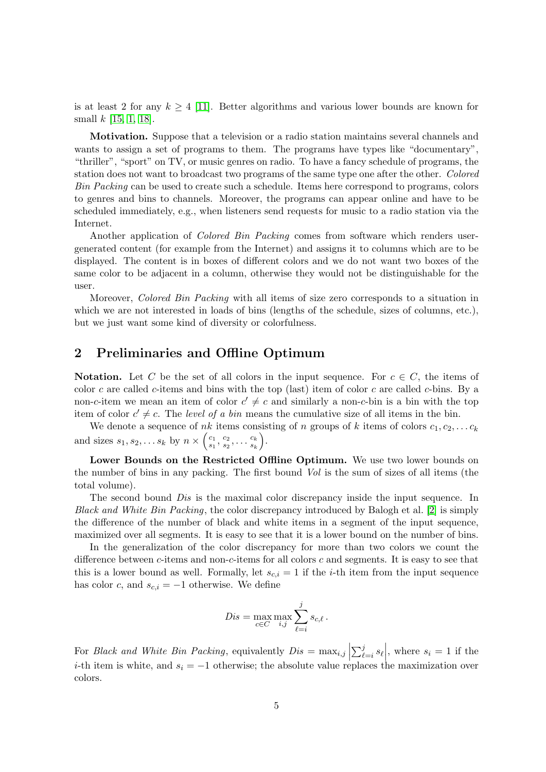is at least 2 for any  $k \geq 4$  [\[11\]](#page-26-9). Better algorithms and various lower bounds are known for small  $k$  [\[15,](#page-27-11) [1,](#page-26-8) [18\]](#page-27-12).

Motivation. Suppose that a television or a radio station maintains several channels and wants to assign a set of programs to them. The programs have types like "documentary", "thriller", "sport" on TV, or music genres on radio. To have a fancy schedule of programs, the station does not want to broadcast two programs of the same type one after the other. Colored Bin Packing can be used to create such a schedule. Items here correspond to programs, colors to genres and bins to channels. Moreover, the programs can appear online and have to be scheduled immediately, e.g., when listeners send requests for music to a radio station via the Internet.

Another application of Colored Bin Packing comes from software which renders usergenerated content (for example from the Internet) and assigns it to columns which are to be displayed. The content is in boxes of different colors and we do not want two boxes of the same color to be adjacent in a column, otherwise they would not be distinguishable for the user.

Moreover, Colored Bin Packing with all items of size zero corresponds to a situation in which we are not interested in loads of bins (lengths of the schedule, sizes of columns, etc.), but we just want some kind of diversity or colorfulness.

## <span id="page-4-0"></span>2 Preliminaries and Offline Optimum

**Notation.** Let C be the set of all colors in the input sequence. For  $c \in C$ , the items of color c are called c-items and bins with the top (last) item of color c are called c-bins. By a non-c-item we mean an item of color  $c' \neq c$  and similarly a non-c-bin is a bin with the top item of color  $c' \neq c$ . The level of a bin means the cumulative size of all items in the bin.

We denote a sequence of nk items consisting of n groups of k items of colors  $c_1, c_2, \ldots c_k$ and sizes  $s_1, s_2, \ldots s_k$  by  $n \times {c_1 \choose s_1}$  $\begin{array}{cc} c_1 & c_2 \\ s_1 & s_2 \end{array}$  $\frac{c_2}{s_2}, \ldots \frac{c_k}{s_k}$ sk .

Lower Bounds on the Restricted Offline Optimum. We use two lower bounds on the number of bins in any packing. The first bound Vol is the sum of sizes of all items (the total volume).

The second bound Dis is the maximal color discrepancy inside the input sequence. In Black and White Bin Packing, the color discrepancy introduced by Balogh et al. [\[2\]](#page-26-1) is simply the difference of the number of black and white items in a segment of the input sequence, maximized over all segments. It is easy to see that it is a lower bound on the number of bins.

In the generalization of the color discrepancy for more than two colors we count the difference between c-items and non-c-items for all colors  $c$  and segments. It is easy to see that this is a lower bound as well. Formally, let  $s_{c,i} = 1$  if the *i*-th item from the input sequence has color c, and  $s_{c,i} = -1$  otherwise. We define

$$
Dis = \max_{c \in C} \max_{i,j} \sum_{\ell=i}^{j} s_{c,\ell}.
$$

For *Black and White Bin Packing*, equivalently  $Dis = \max_{i,j}$  $\sum_{\ell=i}^j s_{\ell}$ , where  $s_i = 1$  if the *i*-th item is white, and  $s_i = -1$  otherwise; the absolute value replaces the maximization over colors.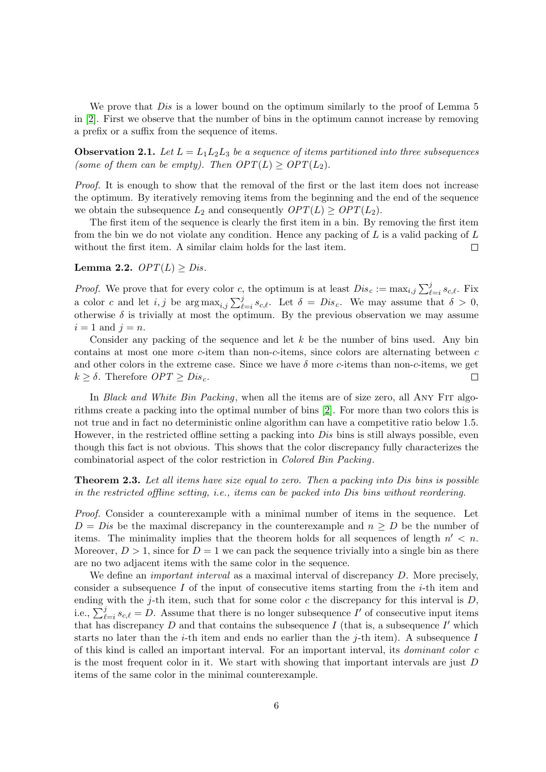We prove that *Dis* is a lower bound on the optimum similarly to the proof of Lemma 5 in [\[2\]](#page-26-1). First we observe that the number of bins in the optimum cannot increase by removing a prefix or a suffix from the sequence of items.

**Observation 2.1.** Let  $L = L_1 L_2 L_3$  be a sequence of items partitioned into three subsequences (some of them can be empty). Then  $OPT(L) \geq OPT(L_2)$ .

Proof. It is enough to show that the removal of the first or the last item does not increase the optimum. By iteratively removing items from the beginning and the end of the sequence we obtain the subsequence  $L_2$  and consequently  $OPT(L) \geq OPT(L_2)$ .

The first item of the sequence is clearly the first item in a bin. By removing the first item from the bin we do not violate any condition. Hence any packing of  $L$  is a valid packing of  $L$ without the first item. A similar claim holds for the last item.  $\Box$ 

Lemma 2.2.  $OPT(L) \geq Dis$ .

*Proof.* We prove that for every color c, the optimum is at least  $Dis_c := \max_{i,j} \sum_{\ell=i}^j s_{c,\ell}$ . Fix a color c and let  $i, j$  be  $\arg \max_{i,j} \sum_{\ell=i}^j s_{c,\ell}$ . Let  $\delta = Dis_c$ . We may assume that  $\delta > 0$ , otherwise  $\delta$  is trivially at most the optimum. By the previous observation we may assume  $i = 1$  and  $j = n$ .

Consider any packing of the sequence and let  $k$  be the number of bins used. Any bin contains at most one more  $c$ -item than non-c-items, since colors are alternating between  $c$ and other colors in the extreme case. Since we have  $\delta$  more c-items than non-c-items, we get  $k \geq \delta$ . Therefore  $OPT \geq Dis_{c}$ .  $\Box$ 

In Black and White Bin Packing, when all the items are of size zero, all Any FIT algorithms create a packing into the optimal number of bins [\[2\]](#page-26-1). For more than two colors this is not true and in fact no deterministic online algorithm can have a competitive ratio below 1.5. However, in the restricted offline setting a packing into  $Dis$  bins is still always possible, even though this fact is not obvious. This shows that the color discrepancy fully characterizes the combinatorial aspect of the color restriction in Colored Bin Packing.

<span id="page-5-0"></span>**Theorem 2.3.** Let all items have size equal to zero. Then a packing into Dis bins is possible in the restricted offline setting, i.e., items can be packed into Dis bins without reordering.

Proof. Consider a counterexample with a minimal number of items in the sequence. Let  $D = Dis$  be the maximal discrepancy in the counterexample and  $n \geq D$  be the number of items. The minimality implies that the theorem holds for all sequences of length  $n' < n$ . Moreover,  $D > 1$ , since for  $D = 1$  we can pack the sequence trivially into a single bin as there are no two adjacent items with the same color in the sequence.

We define an *important interval* as a maximal interval of discrepancy D. More precisely, consider a subsequence I of the input of consecutive items starting from the  $i$ -th item and ending with the j-th item, such that for some color  $c$  the discrepancy for this interval is  $D$ , i.e.,  $\sum_{\ell=i}^j s_{c,\ell} = D$ . Assume that there is no longer subsequence I' of consecutive input items that has discrepancy  $D$  and that contains the subsequence  $I$  (that is, a subsequence  $I'$  which starts no later than the *i*-th item and ends no earlier than the *i*-th item). A subsequence I of this kind is called an important interval. For an important interval, its dominant color c is the most frequent color in it. We start with showing that important intervals are just  $D$ items of the same color in the minimal counterexample.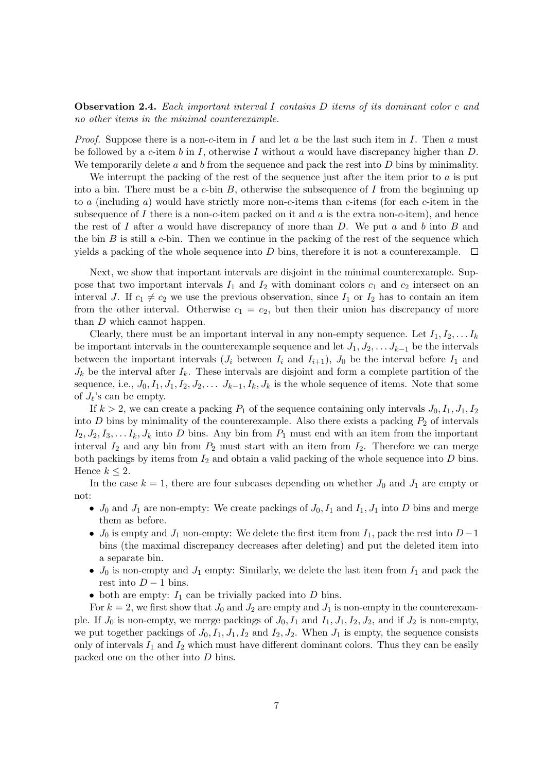Observation 2.4. Each important interval I contains D items of its dominant color c and no other items in the minimal counterexample.

*Proof.* Suppose there is a non-c-item in I and let a be the last such item in I. Then a must be followed by a c-item b in I, otherwise I without a would have discrepancy higher than  $D$ . We temporarily delete  $a$  and  $b$  from the sequence and pack the rest into  $D$  bins by minimality.

We interrupt the packing of the rest of the sequence just after the item prior to  $\alpha$  is put into a bin. There must be a c-bin  $B$ , otherwise the subsequence of I from the beginning up to a (including a) would have strictly more non-c-items than c-items (for each c-item in the subsequence of I there is a non-c-item packed on it and a is the extra non-c-item), and hence the rest of  $I$  after  $a$  would have discrepancy of more than  $D$ . We put  $a$  and  $b$  into  $B$  and the bin  $B$  is still a  $c$ -bin. Then we continue in the packing of the rest of the sequence which yields a packing of the whole sequence into  $D$  bins, therefore it is not a counterexample.  $\Box$ 

Next, we show that important intervals are disjoint in the minimal counterexample. Suppose that two important intervals  $I_1$  and  $I_2$  with dominant colors  $c_1$  and  $c_2$  intersect on an interval J. If  $c_1 \neq c_2$  we use the previous observation, since  $I_1$  or  $I_2$  has to contain an item from the other interval. Otherwise  $c_1 = c_2$ , but then their union has discrepancy of more than D which cannot happen.

Clearly, there must be an important interval in any non-empty sequence. Let  $I_1, I_2, \ldots I_k$ be important intervals in the counterexample sequence and let  $J_1, J_2, \ldots J_{k-1}$  be the intervals between the important intervals  $(J_i$  between  $I_i$  and  $I_{i+1}$ ,  $J_0$  be the interval before  $I_1$  and  $J_k$  be the interval after  $I_k$ . These intervals are disjoint and form a complete partition of the sequence, i.e.,  $J_0, I_1, J_1, I_2, J_2, \ldots, J_{k-1}, I_k, J_k$  is the whole sequence of items. Note that some of  $J_{\ell}$ 's can be empty.

If  $k > 2$ , we can create a packing  $P_1$  of the sequence containing only intervals  $J_0, I_1, J_1, I_2$ into  $D$  bins by minimality of the counterexample. Also there exists a packing  $P_2$  of intervals  $I_2, J_2, I_3, \ldots I_k, J_k$  into D bins. Any bin from  $P_1$  must end with an item from the important interval  $I_2$  and any bin from  $P_2$  must start with an item from  $I_2$ . Therefore we can merge both packings by items from  $I_2$  and obtain a valid packing of the whole sequence into D bins. Hence  $k \leq 2$ .

In the case  $k = 1$ , there are four subcases depending on whether  $J_0$  and  $J_1$  are empty or not:

- $J_0$  and  $J_1$  are non-empty: We create packings of  $J_0, I_1$  and  $I_1, J_1$  into D bins and merge them as before.
- J<sub>0</sub> is empty and J<sub>1</sub> non-empty: We delete the first item from  $I_1$ , pack the rest into  $D-1$ bins (the maximal discrepancy decreases after deleting) and put the deleted item into a separate bin.
- $J_0$  is non-empty and  $J_1$  empty: Similarly, we delete the last item from  $I_1$  and pack the rest into  $D-1$  bins.
- both are empty:  $I_1$  can be trivially packed into  $D$  bins.

For  $k = 2$ , we first show that  $J_0$  and  $J_2$  are empty and  $J_1$  is non-empty in the counterexample. If  $J_0$  is non-empty, we merge packings of  $J_0, I_1$  and  $I_1, J_1, I_2, J_2$ , and if  $J_2$  is non-empty, we put together packings of  $J_0$ ,  $I_1$ ,  $J_1$ ,  $I_2$  and  $I_2$ ,  $J_2$ . When  $J_1$  is empty, the sequence consists only of intervals  $I_1$  and  $I_2$  which must have different dominant colors. Thus they can be easily packed one on the other into D bins.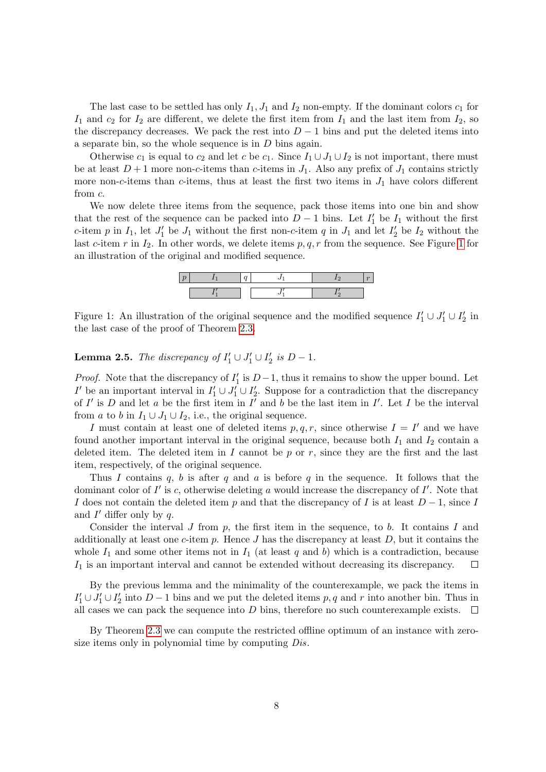The last case to be settled has only  $I_1, J_1$  and  $I_2$  non-empty. If the dominant colors  $c_1$  for  $I_1$  and  $c_2$  for  $I_2$  are different, we delete the first item from  $I_1$  and the last item from  $I_2$ , so the discrepancy decreases. We pack the rest into  $D-1$  bins and put the deleted items into a separate bin, so the whole sequence is in D bins again.

Otherwise  $c_1$  is equal to  $c_2$  and let c be  $c_1$ . Since  $I_1 \cup J_1 \cup I_2$  is not important, there must be at least  $D+1$  more non-c-items than c-items in  $J_1$ . Also any prefix of  $J_1$  contains strictly more non-c-items than c-items, thus at least the first two items in  $J_1$  have colors different from c.

We now delete three items from the sequence, pack those items into one bin and show that the rest of the sequence can be packed into  $D-1$  bins. Let  $I'_1$  be  $I_1$  without the first c-item p in  $I_1$ , let  $J'_1$  be  $J_1$  without the first non-c-item q in  $J_1$  and let  $I'_2$  be  $I_2$  without the last c-item r in  $I_2$ . In other words, we delete items  $p, q, r$  from the sequence. See Figure [1](#page-7-0) for an illustration of the original and modified sequence.

<span id="page-7-0"></span>Figure 1: An illustration of the original sequence and the modified sequence  $I'_1 \cup J'_1 \cup I'_2$  in the last case of the proof of Theorem [2.3.](#page-5-0)

**Lemma 2.5.** The discrepancy of  $I'_1 \cup J'_1 \cup I'_2$  is  $D-1$ .

*Proof.* Note that the discrepancy of  $I'_1$  is  $D-1$ , thus it remains to show the upper bound. Let I' be an important interval in  $I'_1 \cup J'_1 \cup I'_2$ . Suppose for a contradiction that the discrepancy of  $I'$  is D and let a be the first item in  $I'$  and b be the last item in  $I'$ . Let I be the interval from a to b in  $I_1 \cup J_1 \cup I_2$ , i.e., the original sequence.

I must contain at least one of deleted items  $p, q, r$ , since otherwise  $I = I'$  and we have found another important interval in the original sequence, because both  $I_1$  and  $I_2$  contain a deleted item. The deleted item in I cannot be p or r, since they are the first and the last item, respectively, of the original sequence.

Thus I contains q, b is after q and a is before q in the sequence. It follows that the dominant color of  $I'$  is c, otherwise deleting a would increase the discrepancy of  $I'$ . Note that I does not contain the deleted item p and that the discrepancy of I is at least  $D-1$ , since I and  $I'$  differ only by  $q$ .

Consider the interval J from  $p$ , the first item in the sequence, to  $b$ . It contains I and additionally at least one c-item  $p$ . Hence  $J$  has the discrepancy at least  $D$ , but it contains the whole  $I_1$  and some other items not in  $I_1$  (at least q and b) which is a contradiction, because  $I_1$  is an important interval and cannot be extended without decreasing its discrepancy.  $\Box$ 

By the previous lemma and the minimality of the counterexample, we pack the items in  $I'_1 \cup J'_1 \cup I'_2$  into  $D-1$  bins and we put the deleted items p, q and r into another bin. Thus in all cases we can pack the sequence into  $D$  bins, therefore no such counterexample exists.  $\Box$ 

By Theorem [2.3](#page-5-0) we can compute the restricted offline optimum of an instance with zerosize items only in polynomial time by computing *Dis*.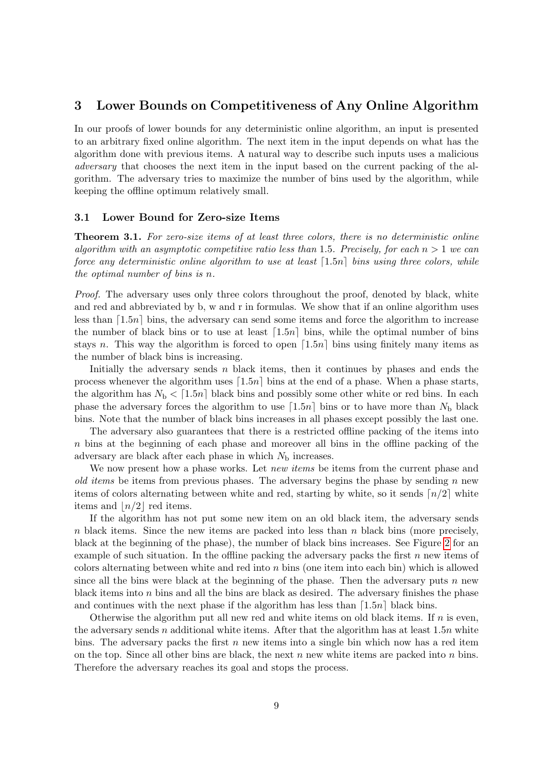### 3 Lower Bounds on Competitiveness of Any Online Algorithm

In our proofs of lower bounds for any deterministic online algorithm, an input is presented to an arbitrary fixed online algorithm. The next item in the input depends on what has the algorithm done with previous items. A natural way to describe such inputs uses a malicious adversary that chooses the next item in the input based on the current packing of the algorithm. The adversary tries to maximize the number of bins used by the algorithm, while keeping the offline optimum relatively small.

#### <span id="page-8-0"></span>3.1 Lower Bound for Zero-size Items

<span id="page-8-1"></span>**Theorem 3.1.** For zero-size items of at least three colors, there is no deterministic online algorithm with an asymptotic competitive ratio less than 1.5. Precisely, for each  $n > 1$  we can force any deterministic online algorithm to use at least  $[1.5n]$  bins using three colors, while the optimal number of bins is n.

Proof. The adversary uses only three colors throughout the proof, denoted by black, white and red and abbreviated by b, w and r in formulas. We show that if an online algorithm uses less than  $\lceil 1.5n \rceil$  bins, the adversary can send some items and force the algorithm to increase the number of black bins or to use at least  $\lceil 1.5n \rceil$  bins, while the optimal number of bins stays n. This way the algorithm is forced to open  $[1.5n]$  bins using finitely many items as the number of black bins is increasing.

Initially the adversary sends  $n$  black items, then it continues by phases and ends the process whenever the algorithm uses  $\lceil 1.5n \rceil$  bins at the end of a phase. When a phase starts, the algorithm has  $N_b < [1.5n]$  black bins and possibly some other white or red bins. In each phase the adversary forces the algorithm to use  $\lceil 1.5n \rceil$  bins or to have more than  $N_{\rm b}$  black bins. Note that the number of black bins increases in all phases except possibly the last one.

The adversary also guarantees that there is a restricted offline packing of the items into n bins at the beginning of each phase and moreover all bins in the offline packing of the adversary are black after each phase in which  $N<sub>b</sub>$  increases.

We now present how a phase works. Let *new items* be items from the current phase and old items be items from previous phases. The adversary begins the phase by sending  $n$  new items of colors alternating between white and red, starting by white, so it sends  $\lceil n/2 \rceil$  white items and  $\lfloor n/2 \rfloor$  red items.

If the algorithm has not put some new item on an old black item, the adversary sends  $n$  black items. Since the new items are packed into less than  $n$  black bins (more precisely, black at the beginning of the phase), the number of black bins increases. See Figure [2](#page-9-0) for an example of such situation. In the offline packing the adversary packs the first  $n$  new items of colors alternating between white and red into  $n$  bins (one item into each bin) which is allowed since all the bins were black at the beginning of the phase. Then the adversary puts  $n$  new black items into  $n$  bins and all the bins are black as desired. The adversary finishes the phase and continues with the next phase if the algorithm has less than  $\lceil 1.5n \rceil$  black bins.

Otherwise the algorithm put all new red and white items on old black items. If  $n$  is even, the adversary sends n additional white items. After that the algorithm has at least  $1.5n$  white bins. The adversary packs the first  $n$  new items into a single bin which now has a red item on the top. Since all other bins are black, the next  $n$  new white items are packed into  $n$  bins. Therefore the adversary reaches its goal and stops the process.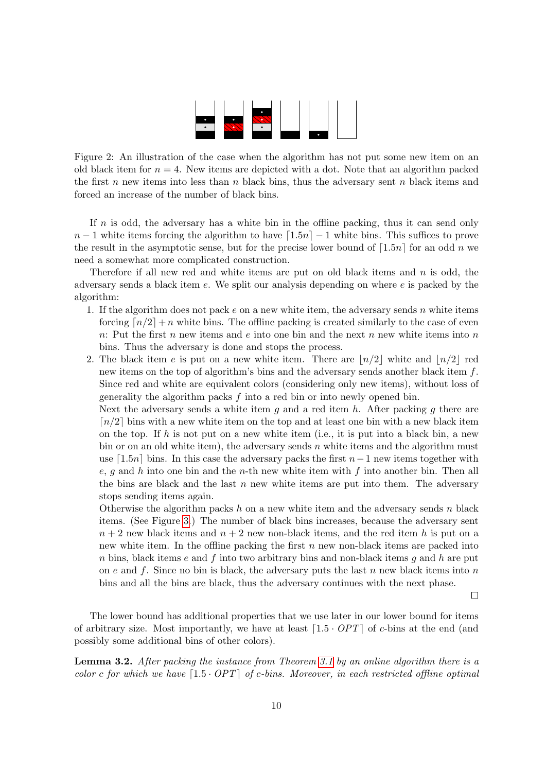

<span id="page-9-0"></span>Figure 2: An illustration of the case when the algorithm has not put some new item on an old black item for  $n = 4$ . New items are depicted with a dot. Note that an algorithm packed the first n new items into less than n black bins, thus the adversary sent n black items and forced an increase of the number of black bins.

If  $n$  is odd, the adversary has a white bin in the offline packing, thus it can send only  $n-1$  white items forcing the algorithm to have  $\lceil 1.5n \rceil - 1$  white bins. This suffices to prove the result in the asymptotic sense, but for the precise lower bound of  $[1.5n]$  for an odd n we need a somewhat more complicated construction.

Therefore if all new red and white items are put on old black items and  $n$  is odd, the adversary sends a black item e. We split our analysis depending on where e is packed by the algorithm:

- 1. If the algorithm does not pack  $e$  on a new white item, the adversary sends n white items forcing  $\lceil n/2 \rceil + n$  white bins. The offline packing is created similarly to the case of even n: Put the first  $n$  new items and  $e$  into one bin and the next  $n$  new white items into  $n$ bins. Thus the adversary is done and stops the process.
- 2. The black item e is put on a new white item. There are  $\lfloor n/2 \rfloor$  white and  $\lfloor n/2 \rfloor$  red new items on the top of algorithm's bins and the adversary sends another black item f. Since red and white are equivalent colors (considering only new items), without loss of generality the algorithm packs  $f$  into a red bin or into newly opened bin.

Next the adversary sends a white item  $q$  and a red item  $h$ . After packing  $q$  there are  $\lceil n/2 \rceil$  bins with a new white item on the top and at least one bin with a new black item on the top. If h is not put on a new white item (i.e., it is put into a black bin, a new bin or on an old white item), the adversary sends  $n$  white items and the algorithm must use [1.5n] bins. In this case the adversary packs the first  $n-1$  new items together with e, g and h into one bin and the n-th new white item with f into another bin. Then all the bins are black and the last  $n$  new white items are put into them. The adversary stops sending items again.

Otherwise the algorithm packs  $h$  on a new white item and the adversary sends  $n$  black items. (See Figure [3.](#page-10-1)) The number of black bins increases, because the adversary sent  $n+2$  new black items and  $n+2$  new non-black items, and the red item h is put on a new white item. In the offline packing the first  $n$  new non-black items are packed into n bins, black items e and f into two arbitrary bins and non-black items q and h are put on e and f. Since no bin is black, the adversary puts the last n new black items into n bins and all the bins are black, thus the adversary continues with the next phase.

 $\Box$ 

The lower bound has additional properties that we use later in our lower bound for items of arbitrary size. Most importantly, we have at least  $\begin{bmatrix}1.5 & OPT\end{bmatrix}$  of c-bins at the end (and possibly some additional bins of other colors).

<span id="page-9-1"></span>**Lemma 3.2.** After packing the instance from Theorem [3.1](#page-8-1) by an online algorithm there is a color c for which we have  $\begin{bmatrix}1.5 \\ 0PT\end{bmatrix}$  of c-bins. Moreover, in each restricted offline optimal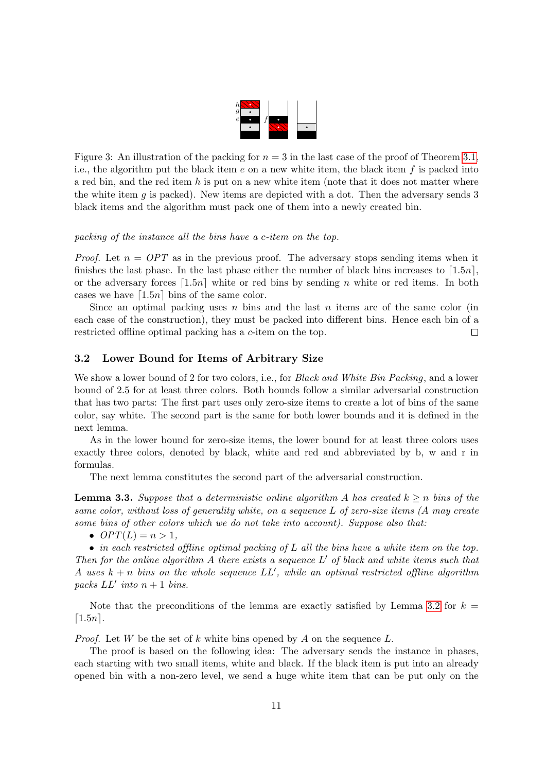

<span id="page-10-1"></span>Figure 3: An illustration of the packing for  $n = 3$  in the last case of the proof of Theorem [3.1,](#page-8-1) i.e., the algorithm put the black item  $e$  on a new white item, the black item  $f$  is packed into a red bin, and the red item h is put on a new white item (note that it does not matter where the white item  $g$  is packed). New items are depicted with a dot. Then the adversary sends 3 black items and the algorithm must pack one of them into a newly created bin.

packing of the instance all the bins have a c-item on the top.

*Proof.* Let  $n = OPT$  as in the previous proof. The adversary stops sending items when it finishes the last phase. In the last phase either the number of black bins increases to  $\lceil 1.5n \rceil$ , or the adversary forces  $[1.5n]$  white or red bins by sending n white or red items. In both cases we have  $\lceil 1.5n \rceil$  bins of the same color.

Since an optimal packing uses n bins and the last n items are of the same color (in each case of the construction), they must be packed into different bins. Hence each bin of a restricted offline optimal packing has a c-item on the top.  $\Box$ 

### <span id="page-10-0"></span>3.2 Lower Bound for Items of Arbitrary Size

We show a lower bound of 2 for two colors, i.e., for *Black and White Bin Packing*, and a lower bound of 2.5 for at least three colors. Both bounds follow a similar adversarial construction that has two parts: The first part uses only zero-size items to create a lot of bins of the same color, say white. The second part is the same for both lower bounds and it is defined in the next lemma.

As in the lower bound for zero-size items, the lower bound for at least three colors uses exactly three colors, denoted by black, white and red and abbreviated by b, w and r in formulas.

The next lemma constitutes the second part of the adversarial construction.

<span id="page-10-2"></span>**Lemma 3.3.** Suppose that a deterministic online algorithm A has created  $k \geq n$  bins of the same color, without loss of generality white, on a sequence L of zero-size items (A may create some bins of other colors which we do not take into account). Suppose also that:

•  $OPT(L) = n > 1$ ,

• in each restricted offline optimal packing of L all the bins have a white item on the top. Then for the online algorithm  $A$  there exists a sequence  $L'$  of black and white items such that A uses  $k + n$  bins on the whole sequence  $LL'$ , while an optimal restricted offline algorithm packs  $LL'$  into  $n + 1$  bins.

Note that the preconditions of the lemma are exactly satisfied by Lemma [3.2](#page-9-1) for  $k =$  $\lceil 1.5n \rceil$ .

*Proof.* Let W be the set of k white bins opened by A on the sequence  $L$ .

The proof is based on the following idea: The adversary sends the instance in phases, each starting with two small items, white and black. If the black item is put into an already opened bin with a non-zero level, we send a huge white item that can be put only on the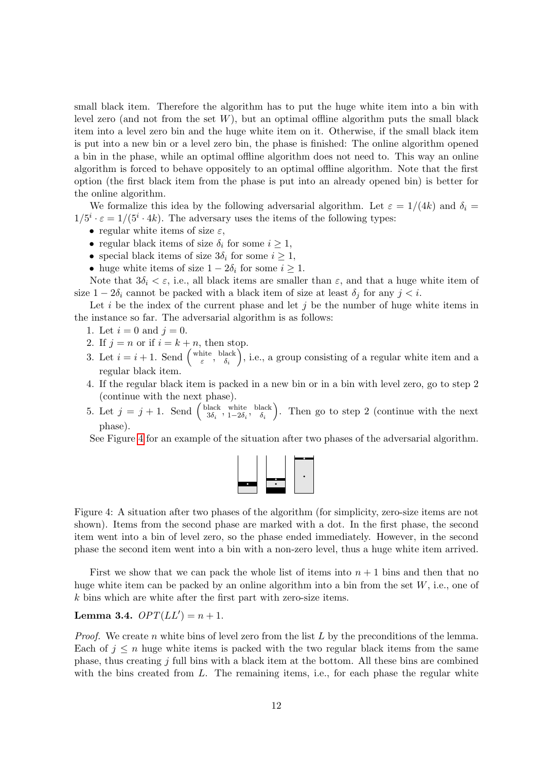small black item. Therefore the algorithm has to put the huge white item into a bin with level zero (and not from the set  $W$ ), but an optimal offline algorithm puts the small black item into a level zero bin and the huge white item on it. Otherwise, if the small black item is put into a new bin or a level zero bin, the phase is finished: The online algorithm opened a bin in the phase, while an optimal offline algorithm does not need to. This way an online algorithm is forced to behave oppositely to an optimal offline algorithm. Note that the first option (the first black item from the phase is put into an already opened bin) is better for the online algorithm.

We formalize this idea by the following adversarial algorithm. Let  $\varepsilon = 1/(4k)$  and  $\delta_i =$  $1/5^i \cdot \varepsilon = 1/(5^i \cdot 4k)$ . The adversary uses the items of the following types:

- regular white items of size  $\varepsilon$ ,
- regular black items of size  $\delta_i$  for some  $i \geq 1$ ,
- special black items of size  $3\delta_i$  for some  $i \geq 1$ ,
- huge white items of size  $1 2\delta_i$  for some  $i \geq 1$ .

Note that  $3\delta_i < \varepsilon$ , i.e., all black items are smaller than  $\varepsilon$ , and that a huge white item of size  $1 - 2\delta_i$  cannot be packed with a black item of size at least  $\delta_j$  for any  $j < i$ .

Let i be the index of the current phase and let j be the number of huge white items in the instance so far. The adversarial algorithm is as follows:

- 1. Let  $i = 0$  and  $j = 0$ .
- 2. If  $j = n$  or if  $i = k + n$ , then stop.
- 3. Let  $i = i + 1$ . Send  $\begin{pmatrix} \text{white} \\ \end{pmatrix}$ hite, black<br>  $\varepsilon$ ,  $\delta_i$  $\delta_i$  , i.e., a group consisting of a regular white item and a regular black item.
- 4. If the regular black item is packed in a new bin or in a bin with level zero, go to step 2 (continue with the next phase).
- 5. Let  $j = j + 1$ . Send  $\begin{pmatrix} \text{black} \\ 3\delta \end{pmatrix}$ black white<br> $3\delta_i$ ,  $1-2\delta_i$ white black<br>  $1\!-\!2\delta_i\, , \quad \delta_i$  $\delta_i$  . Then go to step 2 (continue with the next phase).

See Figure [4](#page-11-0) for an example of the situation after two phases of the adversarial algorithm.



<span id="page-11-0"></span>Figure 4: A situation after two phases of the algorithm (for simplicity, zero-size items are not shown). Items from the second phase are marked with a dot. In the first phase, the second item went into a bin of level zero, so the phase ended immediately. However, in the second phase the second item went into a bin with a non-zero level, thus a huge white item arrived.

First we show that we can pack the whole list of items into  $n + 1$  bins and then that no huge white item can be packed by an online algorithm into a bin from the set  $W$ , i.e., one of k bins which are white after the first part with zero-size items.

Lemma 3.4.  $OPT(LL') = n + 1$ .

*Proof.* We create n white bins of level zero from the list  $L$  by the preconditions of the lemma. Each of  $j \leq n$  huge white items is packed with the two regular black items from the same phase, thus creating j full bins with a black item at the bottom. All these bins are combined with the bins created from  $L$ . The remaining items, i.e., for each phase the regular white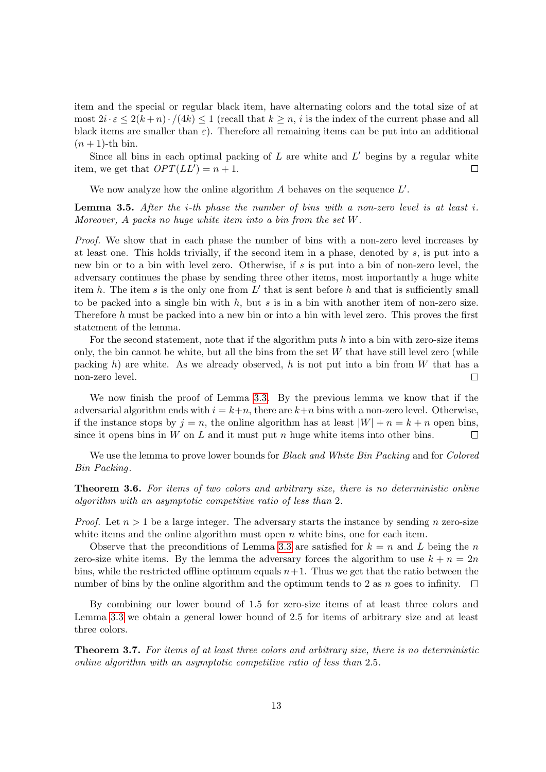item and the special or regular black item, have alternating colors and the total size of at most  $2i \cdot \varepsilon \leq 2(k+n) \cdot (4k) \leq 1$  (recall that  $k \geq n, i$  is the index of the current phase and all black items are smaller than  $\varepsilon$ ). Therefore all remaining items can be put into an additional  $(n + 1)$ -th bin.

Since all bins in each optimal packing of  $L$  are white and  $L'$  begins by a regular white item, we get that  $OPT(LL') = n + 1$ .  $\Box$ 

We now analyze how the online algorithm  $A$  behaves on the sequence  $L'$ .

**Lemma 3.5.** After the *i*-th phase the number of bins with a non-zero level is at least *i*. Moreover, A packs no huge white item into a bin from the set W.

Proof. We show that in each phase the number of bins with a non-zero level increases by at least one. This holds trivially, if the second item in a phase, denoted by  $s$ , is put into a new bin or to a bin with level zero. Otherwise, if s is put into a bin of non-zero level, the adversary continues the phase by sending three other items, most importantly a huge white item  $h$ . The item s is the only one from  $L'$  that is sent before  $h$  and that is sufficiently small to be packed into a single bin with  $h$ , but s is in a bin with another item of non-zero size. Therefore h must be packed into a new bin or into a bin with level zero. This proves the first statement of the lemma.

For the second statement, note that if the algorithm puts  $h$  into a bin with zero-size items only, the bin cannot be white, but all the bins from the set  $W$  that have still level zero (while packing h) are white. As we already observed, h is not put into a bin from W that has a non-zero level.  $\Box$ 

We now finish the proof of Lemma [3.3.](#page-10-2) By the previous lemma we know that if the adversarial algorithm ends with  $i = k+n$ , there are  $k+n$  bins with a non-zero level. Otherwise, if the instance stops by  $j = n$ , the online algorithm has at least  $|W| + n = k + n$  open bins, since it opens bins in W on L and it must put n huge white items into other bins.  $\Box$ 

We use the lemma to prove lower bounds for *Black and White Bin Packing* and for *Colored* Bin Packing.

Theorem 3.6. For items of two colors and arbitrary size, there is no deterministic online algorithm with an asymptotic competitive ratio of less than 2.

*Proof.* Let  $n > 1$  be a large integer. The adversary starts the instance by sending n zero-size white items and the online algorithm must open  $n$  white bins, one for each item.

Observe that the preconditions of Lemma [3.3](#page-10-2) are satisfied for  $k = n$  and L being the n zero-size white items. By the lemma the adversary forces the algorithm to use  $k + n = 2n$ bins, while the restricted offline optimum equals  $n+1$ . Thus we get that the ratio between the number of bins by the online algorithm and the optimum tends to 2 as n goes to infinity.  $\Box$ 

By combining our lower bound of 1.5 for zero-size items of at least three colors and Lemma [3.3](#page-10-2) we obtain a general lower bound of 2.5 for items of arbitrary size and at least three colors.

Theorem 3.7. For items of at least three colors and arbitrary size, there is no deterministic online algorithm with an asymptotic competitive ratio of less than 2.5.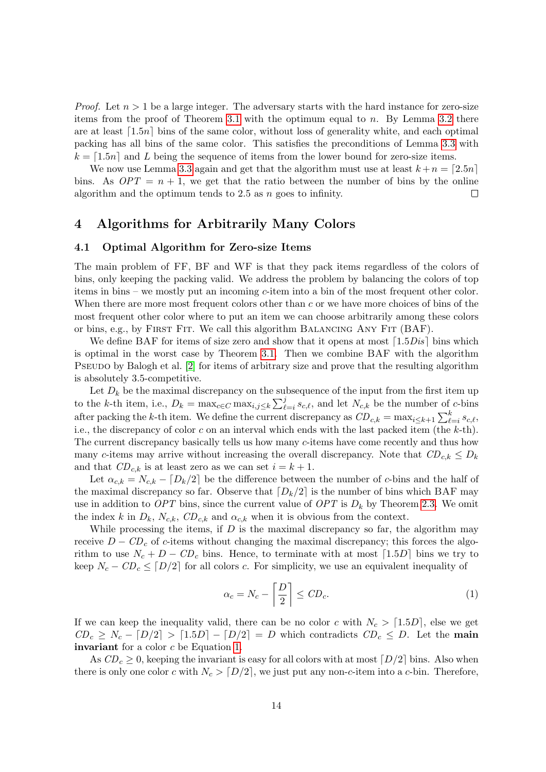*Proof.* Let  $n > 1$  be a large integer. The adversary starts with the hard instance for zero-size items from the proof of Theorem [3.1](#page-8-1) with the optimum equal to  $n$ . By Lemma [3.2](#page-9-1) there are at least  $\lceil 1.5n \rceil$  bins of the same color, without loss of generality white, and each optimal packing has all bins of the same color. This satisfies the preconditions of Lemma [3.3](#page-10-2) with  $k = \lfloor 1.5n \rfloor$  and L being the sequence of items from the lower bound for zero-size items.

We now use Lemma [3.3](#page-10-2) again and get that the algorithm must use at least  $k+n = \lfloor 2.5n \rfloor$ bins. As  $OPT = n + 1$ , we get that the ratio between the number of bins by the online algorithm and the optimum tends to  $2.5$  as n goes to infinity.  $\Box$ 

### 4 Algorithms for Arbitrarily Many Colors

### <span id="page-13-0"></span>4.1 Optimal Algorithm for Zero-size Items

The main problem of FF, BF and WF is that they pack items regardless of the colors of bins, only keeping the packing valid. We address the problem by balancing the colors of top items in bins – we mostly put an incoming  $c$ -item into a bin of the most frequent other color. When there are more most frequent colors other than c or we have more choices of bins of the most frequent other color where to put an item we can choose arbitrarily among these colors or bins, e.g., by First Fit. We call this algorithm Balancing Any Fit (BAF).

We define BAF for items of size zero and show that it opens at most  $\lceil 1.5Dis \rceil$  bins which is optimal in the worst case by Theorem [3.1.](#page-8-1) Then we combine BAF with the algorithm PSEUDO by Balogh et al. [\[2\]](#page-26-1) for items of arbitrary size and prove that the resulting algorithm is absolutely 3.5-competitive.

Let  $D_k$  be the maximal discrepancy on the subsequence of the input from the first item up to the k-th item, i.e.,  $D_k = \max_{c \in C} \max_{i,j \le k} \sum_{\ell=i}^j s_{c,\ell}$ , and let  $N_{c,k}$  be the number of c-bins after packing the k-th item. We define the current discrepancy as  $CD_{c,k} = \max_{i \leq k+1} \sum_{\ell=i}^{k} s_{c,\ell}$ , i.e., the discrepancy of color c on an interval which ends with the last packed item (the  $k$ -th). The current discrepancy basically tells us how many c-items have come recently and thus how many c-items may arrive without increasing the overall discrepancy. Note that  $CD_{c,k} \leq D_k$ and that  $CD_{c,k}$  is at least zero as we can set  $i = k + 1$ .

Let  $\alpha_{c,k} = N_{c,k} - [D_k/2]$  be the difference between the number of c-bins and the half of the maximal discrepancy so far. Observe that  $[D_k/2]$  is the number of bins which BAF may use in addition to OPT bins, since the current value of OPT is  $D_k$  by Theorem [2.3.](#page-5-0) We omit the index k in  $D_k$ ,  $N_{c,k}$ ,  $CD_{c,k}$  and  $\alpha_{c,k}$  when it is obvious from the context.

While processing the items, if  $D$  is the maximal discrepancy so far, the algorithm may receive  $D - CD_c$  of c-items without changing the maximal discrepancy; this forces the algorithm to use  $N_c + D - CD_c$  bins. Hence, to terminate with at most  $[1.5D]$  bins we try to keep  $N_c - CD_c \leq [D/2]$  for all colors c. For simplicity, we use an equivalent inequality of

<span id="page-13-1"></span>
$$
\alpha_c = N_c - \left\lceil \frac{D}{2} \right\rceil \leq CD_c. \tag{1}
$$

If we can keep the inequality valid, there can be no color c with  $N_c > [1.5D]$ , else we get  $CD_c \geq N_c - [D/2] > [1.5D] - [D/2] = D$  which contradicts  $CD_c \leq D$ . Let the main invariant for a color  $c$  be Equation [1.](#page-13-1)

As  $CD_c \geq 0$ , keeping the invariant is easy for all colors with at most  $[D/2]$  bins. Also when there is only one color c with  $N_c > [D/2]$ , we just put any non-c-item into a c-bin. Therefore,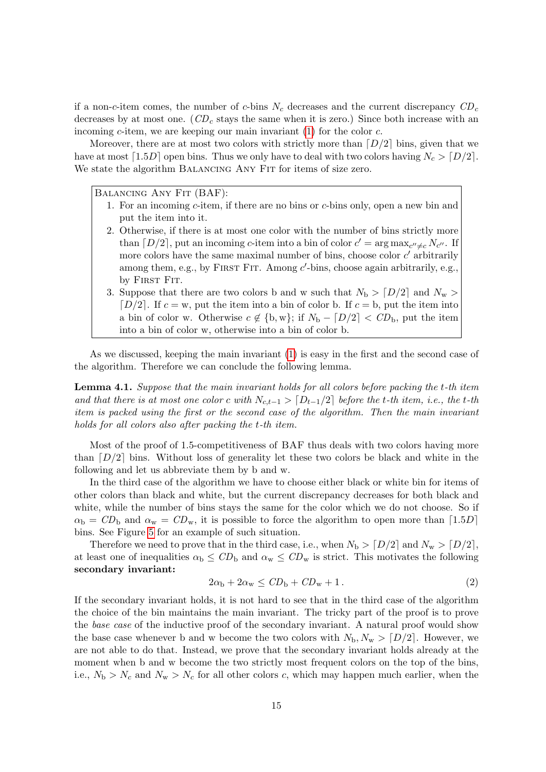if a non-c-item comes, the number of c-bins  $N_c$  decreases and the current discrepancy  $CD_c$ decreases by at most one.  $(CD<sub>c</sub>$  stays the same when it is zero.) Since both increase with an incoming  $c$ -item, we are keeping our main invariant  $(1)$  for the color  $c$ .

Moreover, there are at most two colors with strictly more than  $[D/2]$  bins, given that we have at most [1.5D] open bins. Thus we only have to deal with two colors having  $N_c > [D/2]$ . We state the algorithm BALANCING ANY FIT for items of size zero.

Balancing Any Fit (BAF):

- 1. For an incoming c-item, if there are no bins or c-bins only, open a new bin and put the item into it.
- 2. Otherwise, if there is at most one color with the number of bins strictly more than  $[D/2]$ , put an incoming c-item into a bin of color  $c' = \arg \max_{c'' \neq c} N_{c''}$ . If more colors have the same maximal number of bins, choose color  $c'$  arbitrarily among them, e.g., by FIRST FIT. Among  $c'$ -bins, choose again arbitrarily, e.g., by FIRST FIT.
- 3. Suppose that there are two colors b and w such that  $N_{\rm b} > [D/2]$  and  $N_{\rm w} >$ [D/2]. If  $c = w$ , put the item into a bin of color b. If  $c = b$ , put the item into a bin of color w. Otherwise  $c \notin \{b, w\}$ ; if  $N_b - [D/2] < CD_b$ , put the item into a bin of color w, otherwise into a bin of color b.

As we discussed, keeping the main invariant [\(1\)](#page-13-1) is easy in the first and the second case of the algorithm. Therefore we can conclude the following lemma.

<span id="page-14-1"></span>**Lemma 4.1.** Suppose that the main invariant holds for all colors before packing the t-th item and that there is at most one color c with  $N_{c,t-1} > [D_{t-1}/2]$  before the t-th item, i.e., the t-th item is packed using the first or the second case of the algorithm. Then the main invariant holds for all colors also after packing the t-th item.

Most of the proof of 1.5-competitiveness of BAF thus deals with two colors having more than  $[D/2]$  bins. Without loss of generality let these two colors be black and white in the following and let us abbreviate them by b and w.

In the third case of the algorithm we have to choose either black or white bin for items of other colors than black and white, but the current discrepancy decreases for both black and white, while the number of bins stays the same for the color which we do not choose. So if  $\alpha_{\rm b} = CD_{\rm b}$  and  $\alpha_{\rm w} = CD_{\rm w}$ , it is possible to force the algorithm to open more than  $(1.5D)$ bins. See Figure [5](#page-15-0) for an example of such situation.

Therefore we need to prove that in the third case, i.e., when  $N_{\rm b} > [D/2]$  and  $N_{\rm w} > [D/2]$ , at least one of inequalities  $\alpha_{\rm b} \leq CD_{\rm b}$  and  $\alpha_{\rm w} \leq CD_{\rm w}$  is strict. This motivates the following secondary invariant:

<span id="page-14-0"></span>
$$
2\alpha_{\rm b} + 2\alpha_{\rm w} \le CD_{\rm b} + CD_{\rm w} + 1. \tag{2}
$$

If the secondary invariant holds, it is not hard to see that in the third case of the algorithm the choice of the bin maintains the main invariant. The tricky part of the proof is to prove the base case of the inductive proof of the secondary invariant. A natural proof would show the base case whenever b and w become the two colors with  $N_{\rm b}, N_{\rm w} > [D/2]$ . However, we are not able to do that. Instead, we prove that the secondary invariant holds already at the moment when b and w become the two strictly most frequent colors on the top of the bins, i.e.,  $N_{\rm b} > N_c$  and  $N_{\rm w} > N_c$  for all other colors c, which may happen much earlier, when the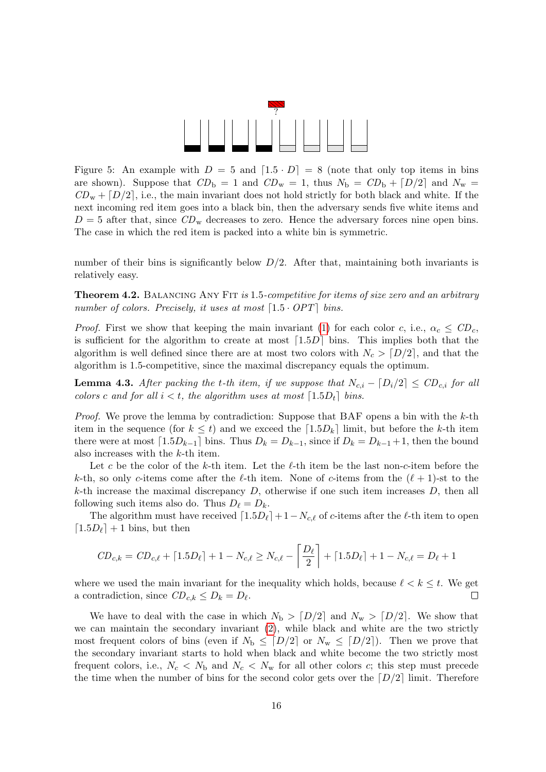

<span id="page-15-0"></span>Figure 5: An example with  $D = 5$  and  $[1.5 \cdot D] = 8$  (note that only top items in bins are shown). Suppose that  $CD_b = 1$  and  $CD_w = 1$ , thus  $N_b = CD_b + [D/2]$  and  $N_w =$  $CD_w + [D/2]$ , i.e., the main invariant does not hold strictly for both black and white. If the next incoming red item goes into a black bin, then the adversary sends five white items and  $D = 5$  after that, since  $CD<sub>w</sub>$  decreases to zero. Hence the adversary forces nine open bins. The case in which the red item is packed into a white bin is symmetric.

number of their bins is significantly below  $D/2$ . After that, maintaining both invariants is relatively easy.

Theorem 4.2. BALANCING ANY FIT is 1.5-competitive for items of size zero and an arbitrary number of colors. Precisely, it uses at most  $\lceil 1.5 \cdot OPT \rceil$  bins.

*Proof.* First we show that keeping the main invariant [\(1\)](#page-13-1) for each color c, i.e.,  $\alpha_c \leq CD_c$ . is sufficient for the algorithm to create at most  $\left[1.5D\right]$  bins. This implies both that the algorithm is well defined since there are at most two colors with  $N_c > [D/2]$ , and that the algorithm is 1.5-competitive, since the maximal discrepancy equals the optimum.

<span id="page-15-1"></span>**Lemma 4.3.** After packing the t-th item, if we suppose that  $N_{c,i} - [D_i/2] \leq CD_{c,i}$  for all colors c and for all  $i < t$ , the algorithm uses at most  $\lceil 1.5D_t \rceil$  bins.

*Proof.* We prove the lemma by contradiction: Suppose that BAF opens a bin with the  $k$ -th item in the sequence (for  $k \leq t$ ) and we exceed the  $[1.5D_k]$  limit, but before the k-th item there were at most  $[1.5D_{k-1}]$  bins. Thus  $D_k = D_{k-1}$ , since if  $D_k = D_{k-1} + 1$ , then the bound also increases with the k-th item.

Let c be the color of the k-th item. Let the  $\ell$ -th item be the last non-c-item before the k-th, so only c-items come after the  $\ell$ -th item. None of c-items from the  $(\ell + 1)$ -st to the  $k$ -th increase the maximal discrepancy  $D$ , otherwise if one such item increases  $D$ , then all following such items also do. Thus  $D_\ell = D_k$ .

The algorithm must have received  $[1.5D_\ell]+ 1-N_{c,\ell}$  of c-items after the  $\ell$ -th item to open  $\lceil 1.5D_\ell \rceil + 1$  bins, but then

$$
CD_{c,k} = CD_{c,\ell} + [1.5D_{\ell}] + 1 - N_{c,\ell} \ge N_{c,\ell} - \left\lceil \frac{D_{\ell}}{2} \right\rceil + [1.5D_{\ell}] + 1 - N_{c,\ell} = D_{\ell} + 1
$$

where we used the main invariant for the inequality which holds, because  $\ell < k \leq t$ . We get a contradiction, since  $CD_{c,k} \leq D_k = D_{\ell}$ .  $\Box$ 

We have to deal with the case in which  $N_{\rm b} > [D/2]$  and  $N_{\rm w} > [D/2]$ . We show that we can maintain the secondary invariant [\(2\)](#page-14-0), while black and white are the two strictly most frequent colors of bins (even if  $N_{\rm b} \leq [D/2]$  or  $N_{\rm w} \leq [D/2]$ ). Then we prove that the secondary invariant starts to hold when black and white become the two strictly most frequent colors, i.e.,  $N_c < N_b$  and  $N_c < N_w$  for all other colors c; this step must precede the time when the number of bins for the second color gets over the  $[D/2]$  limit. Therefore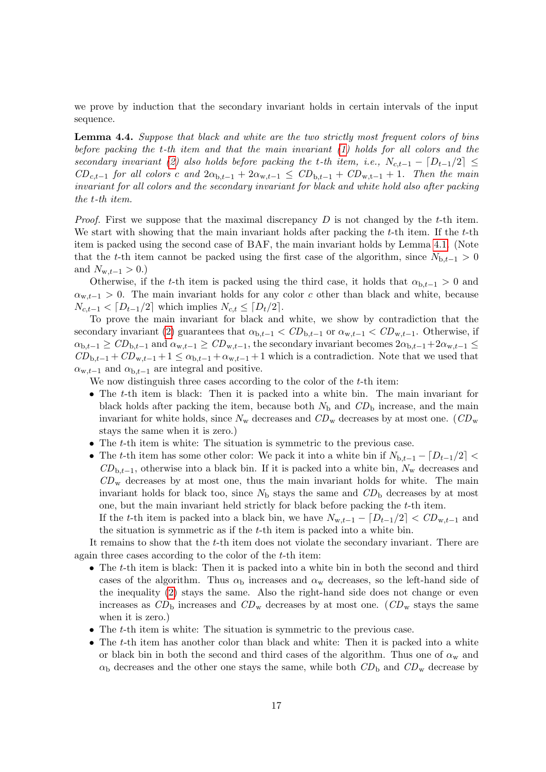we prove by induction that the secondary invariant holds in certain intervals of the input sequence.

<span id="page-16-0"></span>Lemma 4.4. Suppose that black and white are the two strictly most frequent colors of bins before packing the t-th item and that the main invariant [\(1\)](#page-13-1) holds for all colors and the secondary invariant [\(2\)](#page-14-0) also holds before packing the t-th item, i.e.,  $N_{c,t-1} - [D_{t-1}/2] \le$  $CD_{c,t-1}$  for all colors c and  $2\alpha_{b,t-1} + 2\alpha_{w,t-1} \leq CD_{b,t-1} + CD_{w,t-1} + 1$ . Then the main invariant for all colors and the secondary invariant for black and white hold also after packing the t-th item.

*Proof.* First we suppose that the maximal discrepancy  $D$  is not changed by the t-th item. We start with showing that the main invariant holds after packing the  $t$ -th item. If the  $t$ -th item is packed using the second case of BAF, the main invariant holds by Lemma [4.1.](#page-14-1) (Note that the t-th item cannot be packed using the first case of the algorithm, since  $N_{\text{b,t-1}} > 0$ and  $N_{w,t-1} > 0.$ )

Otherwise, if the t-th item is packed using the third case, it holds that  $\alpha_{b,t-1} > 0$  and  $\alpha_{w,t-1} > 0$ . The main invariant holds for any color c other than black and white, because  $N_{c,t-1}$  <  $[D_{t-1}/2]$  which implies  $N_{c,t} \leq [D_t/2]$ .

To prove the main invariant for black and white, we show by contradiction that the secondary invariant [\(2\)](#page-14-0) guarantees that  $\alpha_{b,t-1} < CD_{b,t-1}$  or  $\alpha_{w,t-1} < CD_{w,t-1}$ . Otherwise, if  $\alpha_{b,t-1} \geq CD_{b,t-1}$  and  $\alpha_{w,t-1} \geq CD_{w,t-1}$ , the secondary invariant becomes  $2\alpha_{b,t-1}+2\alpha_{w,t-1} \leq$  $CD_{b,t-1} + CD_{w,t-1} + 1 \leq \alpha_{b,t-1} + \alpha_{w,t-1} + 1$  which is a contradiction. Note that we used that  $\alpha_{w,t-1}$  and  $\alpha_{b,t-1}$  are integral and positive.

We now distinguish three cases according to the color of the  $t$ -th item:

- The t-th item is black: Then it is packed into a white bin. The main invariant for black holds after packing the item, because both  $N<sub>b</sub>$  and  $CD<sub>b</sub>$  increase, and the main invariant for white holds, since  $N_w$  decreases and  $CD_w$  decreases by at most one.  $(CD_w$ stays the same when it is zero.)
- The t-th item is white: The situation is symmetric to the previous case.
- The t-th item has some other color: We pack it into a white bin if  $N_{b,t-1} [D_{t-1}/2] <$  $CD_{b,t-1}$ , otherwise into a black bin. If it is packed into a white bin,  $N_w$  decreases and  $CD<sub>w</sub>$  decreases by at most one, thus the main invariant holds for white. The main invariant holds for black too, since  $N<sub>b</sub>$  stays the same and  $CD<sub>b</sub>$  decreases by at most one, but the main invariant held strictly for black before packing the t-th item.

If the t-th item is packed into a black bin, we have  $N_{w,t-1} - [D_{t-1}/2] < CD_{w,t-1}$  and the situation is symmetric as if the t-th item is packed into a white bin.

It remains to show that the t-th item does not violate the secondary invariant. There are again three cases according to the color of the t-th item:

- The t-th item is black: Then it is packed into a white bin in both the second and third cases of the algorithm. Thus  $\alpha_b$  increases and  $\alpha_w$  decreases, so the left-hand side of the inequality [\(2\)](#page-14-0) stays the same. Also the right-hand side does not change or even increases as  $CD<sub>b</sub>$  increases and  $CD<sub>w</sub>$  decreases by at most one.  $(CD<sub>w</sub>$  stays the same when it is zero.)
- The  $t$ -th item is white: The situation is symmetric to the previous case.
- The t-th item has another color than black and white: Then it is packed into a white or black bin in both the second and third cases of the algorithm. Thus one of  $\alpha_w$  and  $\alpha_{\rm b}$  decreases and the other one stays the same, while both  $CD_{\rm b}$  and  $CD_{\rm w}$  decrease by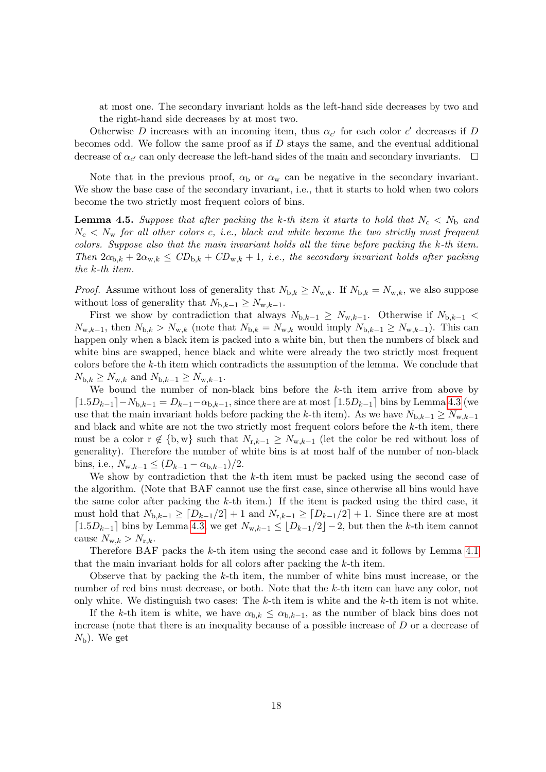at most one. The secondary invariant holds as the left-hand side decreases by two and the right-hand side decreases by at most two.

Otherwise D increases with an incoming item, thus  $\alpha_{c'}$  for each color  $c'$  decreases if D becomes odd. We follow the same proof as if  $D$  stays the same, and the eventual additional decrease of  $\alpha_{c'}$  can only decrease the left-hand sides of the main and secondary invariants.  $\Box$ 

Note that in the previous proof,  $\alpha_b$  or  $\alpha_w$  can be negative in the secondary invariant. We show the base case of the secondary invariant, i.e., that it starts to hold when two colors become the two strictly most frequent colors of bins.

<span id="page-17-0"></span>**Lemma 4.5.** Suppose that after packing the k-th item it starts to hold that  $N_c < N_b$  and  $N_c < N_w$  for all other colors c, i.e., black and white become the two strictly most frequent colors. Suppose also that the main invariant holds all the time before packing the k-th item. Then  $2\alpha_{b,k} + 2\alpha_{w,k} \leq CD_{b,k} + CD_{w,k} + 1$ , i.e., the secondary invariant holds after packing the k-th item.

*Proof.* Assume without loss of generality that  $N_{b,k} \geq N_{w,k}$ . If  $N_{b,k} = N_{w,k}$ , we also suppose without loss of generality that  $N_{b,k-1} \geq N_{w,k-1}$ .

First we show by contradiction that always  $N_{b,k-1} \ge N_{w,k-1}$ . Otherwise if  $N_{b,k-1}$  $N_{w,k-1}$ , then  $N_{b,k} > N_{w,k}$  (note that  $N_{b,k} = N_{w,k}$  would imply  $N_{b,k-1} \ge N_{w,k-1}$ ). This can happen only when a black item is packed into a white bin, but then the numbers of black and white bins are swapped, hence black and white were already the two strictly most frequent colors before the k-th item which contradicts the assumption of the lemma. We conclude that  $N_{\text{b},k} \ge N_{\text{w},k}$  and  $N_{\text{b},k-1} \ge N_{\text{w},k-1}$ .

We bound the number of non-black bins before the k-th item arrive from above by  $[1.5D_{k-1}]-N_{b,k-1}=D_{k-1}-\alpha_{b,k-1}$ , since there are at most  $[1.5D_{k-1}]$  bins by Lemma [4.3](#page-15-1) (we use that the main invariant holds before packing the k-th item). As we have  $N_{b,k-1} \ge N_{w,k-1}$ and black and white are not the two strictly most frequent colors before the  $k$ -th item, there must be a color r  $\notin \{b, w\}$  such that  $N_{r,k-1} \geq N_{w,k-1}$  (let the color be red without loss of generality). Therefore the number of white bins is at most half of the number of non-black bins, i.e.,  $N_{w,k-1} \leq (D_{k-1} - \alpha_{b,k-1})/2$ .

We show by contradiction that the  $k$ -th item must be packed using the second case of the algorithm. (Note that BAF cannot use the first case, since otherwise all bins would have the same color after packing the  $k$ -th item.) If the item is packed using the third case, it must hold that  $N_{b,k-1} \geq \lfloor D_{k-1}/2 \rfloor + 1$  and  $N_{r,k-1} \geq \lfloor D_{k-1}/2 \rfloor + 1$ . Since there are at most  $\lfloor 1.5D_{k-1}\rfloor$  bins by Lemma [4.3,](#page-15-1) we get  $N_{w,k-1} \leq \lfloor D_{k-1}/2 \rfloor - 2$ , but then the k-th item cannot cause  $N_{\text{w},k} > N_{\text{r},k}$ .

Therefore BAF packs the k-th item using the second case and it follows by Lemma [4.1](#page-14-1) that the main invariant holds for all colors after packing the k-th item.

Observe that by packing the k-th item, the number of white bins must increase, or the number of red bins must decrease, or both. Note that the k-th item can have any color, not only white. We distinguish two cases: The  $k$ -th item is white and the  $k$ -th item is not white.

If the k-th item is white, we have  $\alpha_{b,k} \leq \alpha_{b,k-1}$ , as the number of black bins does not increase (note that there is an inequality because of a possible increase of D or a decrease of  $N_{\rm b}$ ). We get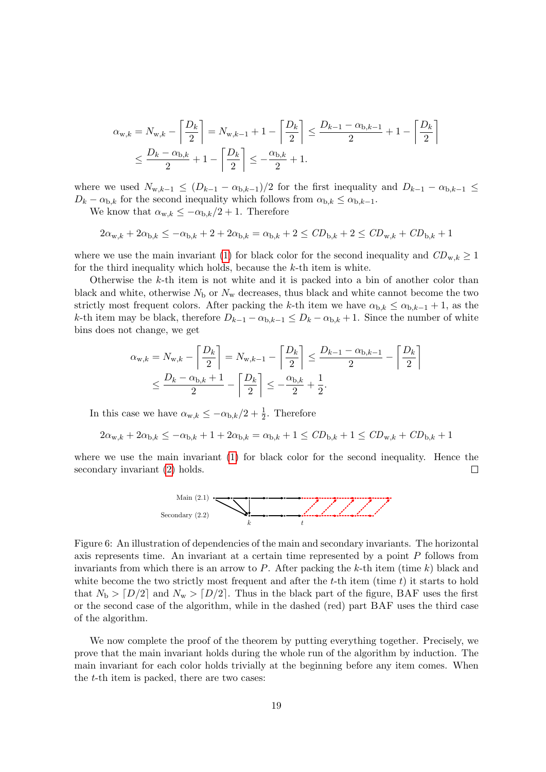$$
\alpha_{\mathbf{w},k} = N_{\mathbf{w},k} - \left\lceil \frac{D_k}{2} \right\rceil = N_{\mathbf{w},k-1} + 1 - \left\lceil \frac{D_k}{2} \right\rceil \le \frac{D_{k-1} - \alpha_{\mathbf{b},k-1}}{2} + 1 - \left\lceil \frac{D_k}{2} \right\rceil
$$
  

$$
\le \frac{D_k - \alpha_{\mathbf{b},k}}{2} + 1 - \left\lceil \frac{D_k}{2} \right\rceil \le -\frac{\alpha_{\mathbf{b},k}}{2} + 1.
$$

where we used  $N_{w,k-1} \leq (D_{k-1} - \alpha_{b,k-1})/2$  for the first inequality and  $D_{k-1} - \alpha_{b,k-1} \leq$  $D_k - \alpha_{\text{b},k}$  for the second inequality which follows from  $\alpha_{\text{b},k} \leq \alpha_{\text{b},k-1}$ .

We know that  $\alpha_{w,k} \leq -\alpha_{b,k}/2 + 1$ . Therefore

$$
2\alpha_{\mathrm{w},k}+2\alpha_{\mathrm{b},k}\leq-\alpha_{\mathrm{b},k}+2+2\alpha_{\mathrm{b},k}=\alpha_{\mathrm{b},k}+2\leq CD_{\mathrm{b},k}+2\leq CD_{\mathrm{w},k}+CD_{\mathrm{b},k}+1
$$

where we use the main invariant [\(1\)](#page-13-1) for black color for the second inequality and  $CD_{w,k} \geq 1$ for the third inequality which holds, because the  $k$ -th item is white.

Otherwise the k-th item is not white and it is packed into a bin of another color than black and white, otherwise  $N_{\rm b}$  or  $N_{\rm w}$  decreases, thus black and white cannot become the two strictly most frequent colors. After packing the k-th item we have  $\alpha_{b,k} \leq \alpha_{b,k-1} + 1$ , as the k-th item may be black, therefore  $D_{k-1} - \alpha_{b,k-1} \le D_k - \alpha_{b,k} + 1$ . Since the number of white bins does not change, we get

$$
\alpha_{w,k} = N_{w,k} - \left\lceil \frac{D_k}{2} \right\rceil = N_{w,k-1} - \left\lceil \frac{D_k}{2} \right\rceil \le \frac{D_{k-1} - \alpha_{b,k-1}}{2} - \left\lceil \frac{D_k}{2} \right\rceil
$$
  

$$
\le \frac{D_k - \alpha_{b,k} + 1}{2} - \left\lceil \frac{D_k}{2} \right\rceil \le -\frac{\alpha_{b,k}}{2} + \frac{1}{2}.
$$

In this case we have  $\alpha_{w,k} \leq -\alpha_{b,k}/2 + \frac{1}{2}$ . Therefore

$$
2\alpha_{w,k} + 2\alpha_{b,k} \le -\alpha_{b,k} + 1 + 2\alpha_{b,k} = \alpha_{b,k} + 1 \le CD_{b,k} + 1 \le CD_{w,k} + CD_{b,k} + 1
$$

where we use the main invariant [\(1\)](#page-13-1) for black color for the second inequality. Hence the secondary invariant  $(2)$  holds.  $\Box$ 



<span id="page-18-0"></span>Figure 6: An illustration of dependencies of the main and secondary invariants. The horizontal axis represents time. An invariant at a certain time represented by a point  $P$  follows from invariants from which there is an arrow to  $P$ . After packing the  $k$ -th item (time  $k$ ) black and white become the two strictly most frequent and after the  $t$ -th item (time  $t$ ) it starts to hold that  $N_b > [D/2]$  and  $N_w > [D/2]$ . Thus in the black part of the figure, BAF uses the first or the second case of the algorithm, while in the dashed (red) part BAF uses the third case of the algorithm.

We now complete the proof of the theorem by putting everything together. Precisely, we prove that the main invariant holds during the whole run of the algorithm by induction. The main invariant for each color holds trivially at the beginning before any item comes. When the t-th item is packed, there are two cases: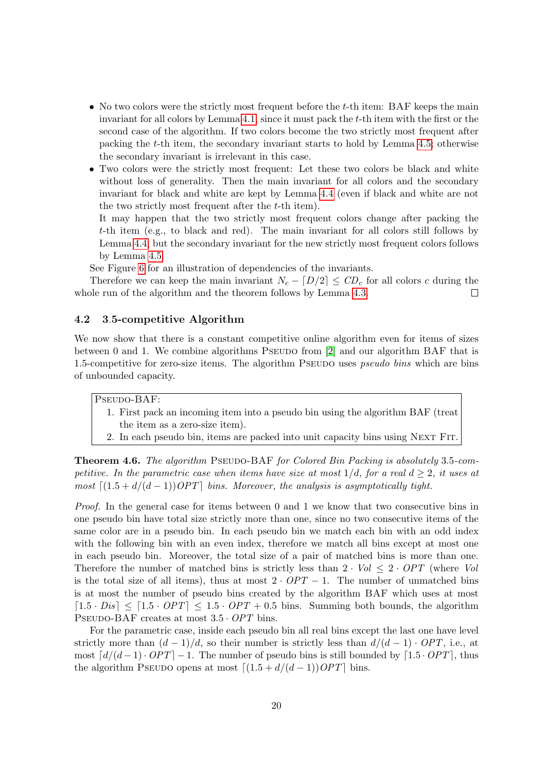- No two colors were the strictly most frequent before the t-th item: BAF keeps the main invariant for all colors by Lemma [4.1,](#page-14-1) since it must pack the t-th item with the first or the second case of the algorithm. If two colors become the two strictly most frequent after packing the t-th item, the secondary invariant starts to hold by Lemma [4.5;](#page-17-0) otherwise the secondary invariant is irrelevant in this case.
- Two colors were the strictly most frequent: Let these two colors be black and white without loss of generality. Then the main invariant for all colors and the secondary invariant for black and white are kept by Lemma [4.4](#page-16-0) (even if black and white are not the two strictly most frequent after the t-th item).

It may happen that the two strictly most frequent colors change after packing the t-th item (e.g., to black and red). The main invariant for all colors still follows by Lemma [4.4,](#page-16-0) but the secondary invariant for the new strictly most frequent colors follows by Lemma [4.5.](#page-17-0)

See Figure [6](#page-18-0) for an illustration of dependencies of the invariants.

Therefore we can keep the main invariant  $N_c - [D/2] \leq CD_c$  for all colors c during the whole run of the algorithm and the theorem follows by Lemma [4.3.](#page-15-1)  $\Box$ 

#### <span id="page-19-0"></span>4.2 3.5-competitive Algorithm

We now show that there is a constant competitive online algorithm even for items of sizes between 0 and 1. We combine algorithms PSEUDO from  $[2]$  and our algorithm BAF that is 1.5-competitive for zero-size items. The algorithm PSEUDO uses *pseudo bins* which are bins of unbounded capacity.

#### PSEUDO-BAF:

- 1. First pack an incoming item into a pseudo bin using the algorithm BAF (treat the item as a zero-size item).
- 2. In each pseudo bin, items are packed into unit capacity bins using Next Fit.

**Theorem 4.6.** The algorithm PSEUDO-BAF for Colored Bin Packing is absolutely 3.5-competitive. In the parametric case when items have size at most  $1/d$ , for a real  $d \geq 2$ , it uses at most  $\lceil(1.5 + d/(d-1))OPT\rceil$  bins. Moreover, the analysis is asymptotically tight.

Proof. In the general case for items between 0 and 1 we know that two consecutive bins in one pseudo bin have total size strictly more than one, since no two consecutive items of the same color are in a pseudo bin. In each pseudo bin we match each bin with an odd index with the following bin with an even index, therefore we match all bins except at most one in each pseudo bin. Moreover, the total size of a pair of matched bins is more than one. Therefore the number of matched bins is strictly less than  $2 \cdot Vol \leq 2 \cdot OPT$  (where Vol is the total size of all items), thus at most  $2 \cdot OPT - 1$ . The number of unmatched bins is at most the number of pseudo bins created by the algorithm BAF which uses at most  $\lfloor 1.5 \cdot Dis \rfloor \leq \lfloor 1.5 \cdot OPT \rfloor \leq 1.5 \cdot OPT + 0.5$  bins. Summing both bounds, the algorithm PSEUDO-BAF creates at most  $3.5 \cdot OPT$  bins.

For the parametric case, inside each pseudo bin all real bins except the last one have level strictly more than  $(d-1)/d$ , so their number is strictly less than  $d/(d-1) \cdot OPT$ , i.e., at most  $\lceil d/(d-1) \cdot OPT \rceil - 1$ . The number of pseudo bins is still bounded by  $\lceil 1.5 \cdot OPT \rceil$ , thus the algorithm Pseudo opens at most  $[(1.5 + d/(d - 1))OPT]$  bins.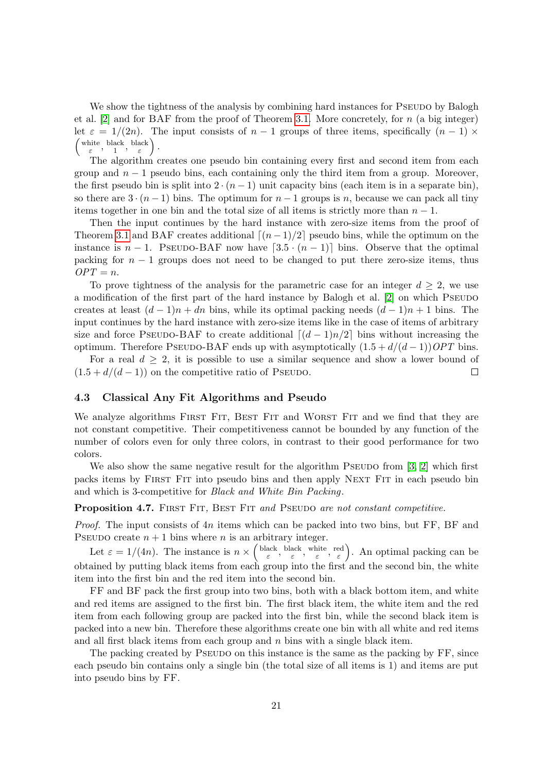We show the tightness of the analysis by combining hard instances for PSEUDO by Balogh et al.  $[2]$  and for BAF from the proof of Theorem [3.1.](#page-8-1) More concretely, for n (a big integer) white let  $\varepsilon = 1/(2n)$ . The input consists of  $n-1$  groups of three items, specifically  $(n-1) \times$ nite black<br>  $\varepsilon$ , 1 ack black<br>  $1, \epsilon$  $\left(\begin{array}{c} \frac{1}{\varepsilon} \end{array}\right)$ .

The algorithm creates one pseudo bin containing every first and second item from each group and  $n-1$  pseudo bins, each containing only the third item from a group. Moreover, the first pseudo bin is split into  $2 \cdot (n-1)$  unit capacity bins (each item is in a separate bin), so there are  $3 \cdot (n-1)$  bins. The optimum for  $n-1$  groups is n, because we can pack all tiny items together in one bin and the total size of all items is strictly more than  $n-1$ .

Then the input continues by the hard instance with zero-size items from the proof of Theorem [3.1](#page-8-1) and BAF creates additional  $\lceil (n - 1)/2 \rceil$  pseudo bins, while the optimum on the instance is  $n-1$ . PSEUDO-BAF now have  $\lceil 3.5 \cdot (n-1) \rceil$  bins. Observe that the optimal packing for  $n-1$  groups does not need to be changed to put there zero-size items, thus  $OPT = n$ .

To prove tightness of the analysis for the parametric case for an integer  $d \geq 2$ , we use a modification of the first part of the hard instance by Balogh et al. [\[2\]](#page-26-1) on which PSEUDO creates at least  $(d-1)n + dn$  bins, while its optimal packing needs  $(d-1)n + 1$  bins. The input continues by the hard instance with zero-size items like in the case of items of arbitrary size and force PSEUDO-BAF to create additional  $\left[ (d - 1)n/2 \right]$  bins without increasing the optimum. Therefore PSEUDO-BAF ends up with asymptotically  $(1.5 + d/(d-1))$  OPT bins.

For a real  $d > 2$ , it is possible to use a similar sequence and show a lower bound of  $(1.5 + d/(d-1))$  on the competitive ratio of PSEUDO.  $\Box$ 

#### <span id="page-20-0"></span>4.3 Classical Any Fit Algorithms and Pseudo

We analyze algorithms FIRST FIT, BEST FIT and WORST FIT and we find that they are not constant competitive. Their competitiveness cannot be bounded by any function of the number of colors even for only three colors, in contrast to their good performance for two colors.

We also show the same negative result for the algorithm PSEUDO from [\[3,](#page-26-0) [2\]](#page-26-1) which first packs items by First Fit into pseudo bins and then apply Next Fit in each pseudo bin and which is 3-competitive for Black and White Bin Packing.

Proposition 4.7. FIRST FIT, BEST FIT and PSEUDO are not constant competitive.

*Proof.* The input consists of  $4n$  items which can be packed into two bins, but FF, BF and PSEUDO create  $n + 1$  bins where n is an arbitrary integer.

Let  $\varepsilon = 1/(4n)$ . The instance is  $n \times \int_{\varepsilon}^{\text{black}}$ ack, black<br>  $\varepsilon$ ,  $\varepsilon$ ack, white  $\varepsilon$ , hite red<br>  $\varepsilon$ ,  $\varepsilon$  $\left( \frac{ed}{\varepsilon} \right)$ . An optimal packing can be obtained by putting black items from each group into the first and the second bin, the white item into the first bin and the red item into the second bin.

FF and BF pack the first group into two bins, both with a black bottom item, and white and red items are assigned to the first bin. The first black item, the white item and the red item from each following group are packed into the first bin, while the second black item is packed into a new bin. Therefore these algorithms create one bin with all white and red items and all first black items from each group and  $n$  bins with a single black item.

The packing created by PSEUDO on this instance is the same as the packing by FF, since each pseudo bin contains only a single bin (the total size of all items is 1) and items are put into pseudo bins by FF.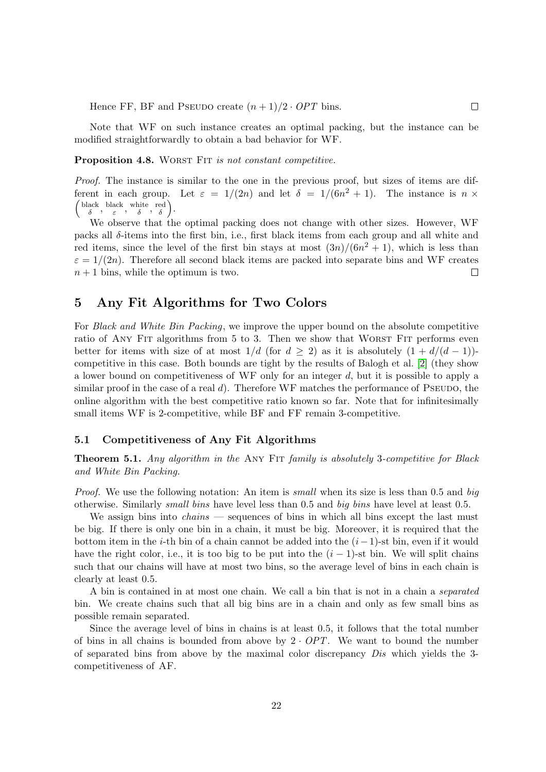Hence FF, BF and PSEUDO create  $(n + 1)/2 \cdot OPT$  bins.

Note that WF on such instance creates an optimal packing, but the instance can be modified straightforwardly to obtain a bad behavior for WF.

 $\Box$ 

Proposition 4.8. WORST FIT is not constant competitive.

Proof. The instance is similar to the one in the previous proof, but sizes of items are different in each group. Let  $\varepsilon = 1/(2n)$  and let  $\delta = 1/(6n^2 + 1)$ . The instance is  $n \times$  black ack black<br>  $\delta$ ,  $\varepsilon$ ack, white<br>  $\varepsilon$ ,  $\delta$ nite, red<br>  $\delta$ ,  $\delta$  $_{\delta}^{{\rm ed}}\Big).$ 

We observe that the optimal packing does not change with other sizes. However, WF packs all  $\delta$ -items into the first bin, i.e., first black items from each group and all white and red items, since the level of the first bin stays at most  $(3n)/(6n^2+1)$ , which is less than  $\varepsilon = 1/(2n)$ . Therefore all second black items are packed into separate bins and WF creates  $n + 1$  bins, while the optimum is two. П

### 5 Any Fit Algorithms for Two Colors

For Black and White Bin Packing, we improve the upper bound on the absolute competitive ratio of Any FIT algorithms from 5 to 3. Then we show that WORST FIT performs even better for items with size of at most  $1/d$  (for  $d \geq 2$ ) as it is absolutely  $(1 + d/(d - 1))$ competitive in this case. Both bounds are tight by the results of Balogh et al. [\[2\]](#page-26-1) (they show a lower bound on competitiveness of WF only for an integer d, but it is possible to apply a similar proof in the case of a real  $d$ ). Therefore WF matches the performance of PSEUDO, the online algorithm with the best competitive ratio known so far. Note that for infinitesimally small items WF is 2-competitive, while BF and FF remain 3-competitive.

#### <span id="page-21-0"></span>5.1 Competitiveness of Any Fit Algorithms

<span id="page-21-1"></span>Theorem 5.1. Any algorithm in the ANY FIT family is absolutely 3-competitive for Black and White Bin Packing.

*Proof.* We use the following notation: An item is *small* when its size is less than 0.5 and big otherwise. Similarly small bins have level less than 0.5 and big bins have level at least 0.5.

We assign bins into *chains* — sequences of bins in which all bins except the last must be big. If there is only one bin in a chain, it must be big. Moreover, it is required that the bottom item in the i-th bin of a chain cannot be added into the  $(i-1)$ -st bin, even if it would have the right color, i.e., it is too big to be put into the  $(i - 1)$ -st bin. We will split chains such that our chains will have at most two bins, so the average level of bins in each chain is clearly at least 0.5.

A bin is contained in at most one chain. We call a bin that is not in a chain a separated bin. We create chains such that all big bins are in a chain and only as few small bins as possible remain separated.

Since the average level of bins in chains is at least 0.5, it follows that the total number of bins in all chains is bounded from above by  $2 \cdot OPT$ . We want to bound the number of separated bins from above by the maximal color discrepancy Dis which yields the 3 competitiveness of AF.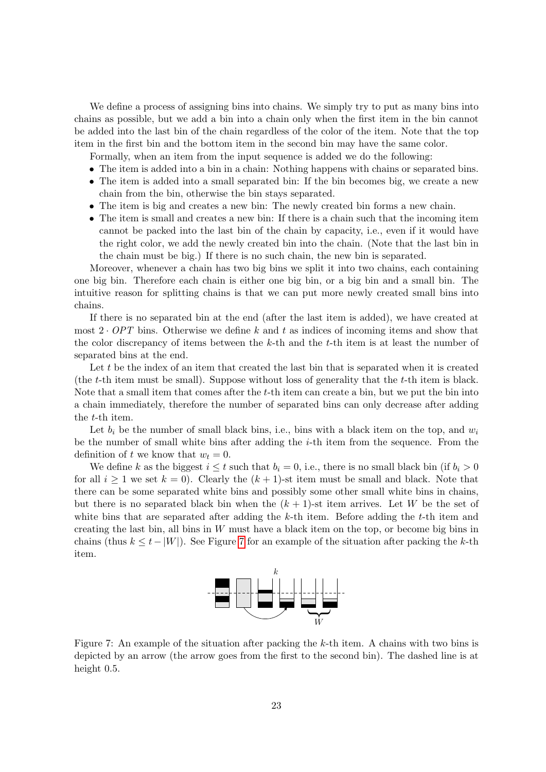We define a process of assigning bins into chains. We simply try to put as many bins into chains as possible, but we add a bin into a chain only when the first item in the bin cannot be added into the last bin of the chain regardless of the color of the item. Note that the top item in the first bin and the bottom item in the second bin may have the same color.

Formally, when an item from the input sequence is added we do the following:

- The item is added into a bin in a chain: Nothing happens with chains or separated bins.
- The item is added into a small separated bin: If the bin becomes big, we create a new chain from the bin, otherwise the bin stays separated.
- The item is big and creates a new bin: The newly created bin forms a new chain.
- The item is small and creates a new bin: If there is a chain such that the incoming item cannot be packed into the last bin of the chain by capacity, i.e., even if it would have the right color, we add the newly created bin into the chain. (Note that the last bin in the chain must be big.) If there is no such chain, the new bin is separated.

Moreover, whenever a chain has two big bins we split it into two chains, each containing one big bin. Therefore each chain is either one big bin, or a big bin and a small bin. The intuitive reason for splitting chains is that we can put more newly created small bins into chains.

If there is no separated bin at the end (after the last item is added), we have created at most  $2 \cdot OPT$  bins. Otherwise we define k and t as indices of incoming items and show that the color discrepancy of items between the  $k$ -th and the  $t$ -th item is at least the number of separated bins at the end.

Let  $t$  be the index of an item that created the last bin that is separated when it is created (the t-th item must be small). Suppose without loss of generality that the t-th item is black. Note that a small item that comes after the t-th item can create a bin, but we put the bin into a chain immediately, therefore the number of separated bins can only decrease after adding the t-th item.

Let  $b_i$  be the number of small black bins, i.e., bins with a black item on the top, and  $w_i$ be the number of small white bins after adding the i-th item from the sequence. From the definition of t we know that  $w_t = 0$ .

We define k as the biggest  $i \leq t$  such that  $b_i = 0$ , i.e., there is no small black bin (if  $b_i > 0$ for all  $i \geq 1$  we set  $k = 0$ ). Clearly the  $(k + 1)$ -st item must be small and black. Note that there can be some separated white bins and possibly some other small white bins in chains, but there is no separated black bin when the  $(k + 1)$ -st item arrives. Let W be the set of white bins that are separated after adding the  $k$ -th item. Before adding the  $t$ -th item and creating the last bin, all bins in  $W$  must have a black item on the top, or become big bins in chains (thus  $k \leq t-|W|$ ). See Figure [7](#page-22-0) for an example of the situation after packing the k-th item.



<span id="page-22-0"></span>Figure 7: An example of the situation after packing the  $k$ -th item. A chains with two bins is depicted by an arrow (the arrow goes from the first to the second bin). The dashed line is at height 0.5.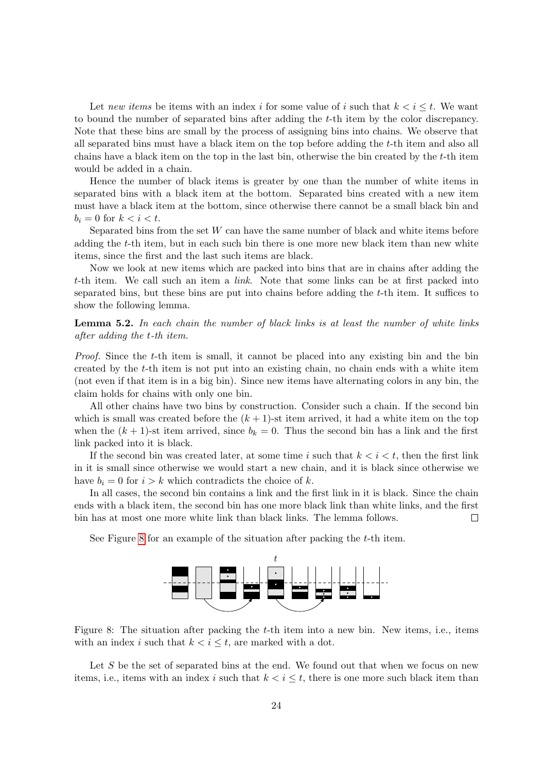Let new items be items with an index i for some value of i such that  $k < i \leq t$ . We want to bound the number of separated bins after adding the t-th item by the color discrepancy. Note that these bins are small by the process of assigning bins into chains. We observe that all separated bins must have a black item on the top before adding the t-th item and also all chains have a black item on the top in the last bin, otherwise the bin created by the t-th item would be added in a chain.

Hence the number of black items is greater by one than the number of white items in separated bins with a black item at the bottom. Separated bins created with a new item must have a black item at the bottom, since otherwise there cannot be a small black bin and  $b_i = 0$  for  $k < i < t$ .

Separated bins from the set  $W$  can have the same number of black and white items before adding the t-th item, but in each such bin there is one more new black item than new white items, since the first and the last such items are black.

Now we look at new items which are packed into bins that are in chains after adding the t-th item. We call such an item a link. Note that some links can be at first packed into separated bins, but these bins are put into chains before adding the t-th item. It suffices to show the following lemma.

**Lemma 5.2.** In each chain the number of black links is at least the number of white links after adding the t-th item.

Proof. Since the t-th item is small, it cannot be placed into any existing bin and the bin created by the t-th item is not put into an existing chain, no chain ends with a white item (not even if that item is in a big bin). Since new items have alternating colors in any bin, the claim holds for chains with only one bin.

All other chains have two bins by construction. Consider such a chain. If the second bin which is small was created before the  $(k + 1)$ -st item arrived, it had a white item on the top when the  $(k + 1)$ -st item arrived, since  $b_k = 0$ . Thus the second bin has a link and the first link packed into it is black.

If the second bin was created later, at some time i such that  $k < i < t$ , then the first link in it is small since otherwise we would start a new chain, and it is black since otherwise we have  $b_i = 0$  for  $i > k$  which contradicts the choice of k.

In all cases, the second bin contains a link and the first link in it is black. Since the chain ends with a black item, the second bin has one more black link than white links, and the first bin has at most one more white link than black links. The lemma follows.  $\Box$ 

See Figure [8](#page-23-0) for an example of the situation after packing the t-th item.



<span id="page-23-0"></span>Figure 8: The situation after packing the t-th item into a new bin. New items, i.e., items with an index i such that  $k < i \leq t$ , are marked with a dot.

Let  $S$  be the set of separated bins at the end. We found out that when we focus on new items, i.e., items with an index i such that  $k < i \leq t$ , there is one more such black item than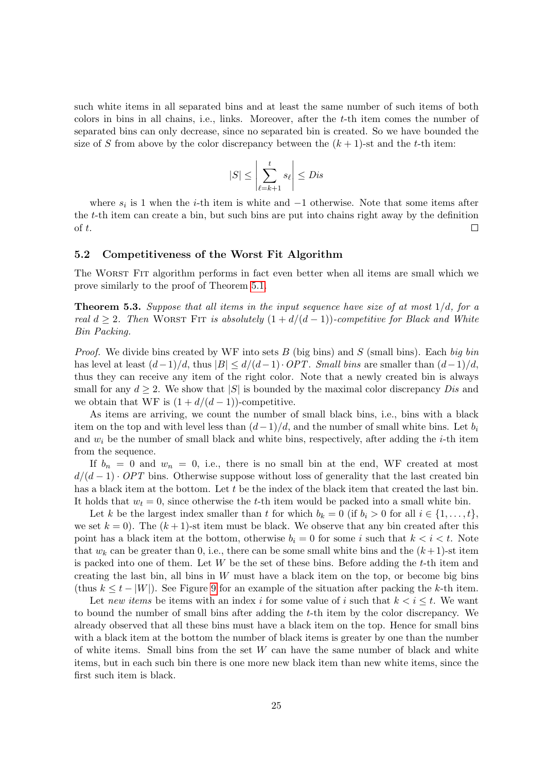such white items in all separated bins and at least the same number of such items of both colors in bins in all chains, i.e., links. Moreover, after the  $t$ -th item comes the number of separated bins can only decrease, since no separated bin is created. So we have bounded the size of S from above by the color discrepancy between the  $(k + 1)$ -st and the t-th item:

$$
|S| \le \left| \sum_{\ell=k+1}^t s_\ell \right| \le Dis
$$

where  $s_i$  is 1 when the *i*-th item is white and  $-1$  otherwise. Note that some items after the t-th item can create a bin, but such bins are put into chains right away by the definition of t.  $\Box$ 

#### <span id="page-24-0"></span>5.2 Competitiveness of the Worst Fit Algorithm

The Worst Fit algorithm performs in fact even better when all items are small which we prove similarly to the proof of Theorem [5.1.](#page-21-1)

**Theorem 5.3.** Suppose that all items in the input sequence have size of at most  $1/d$ , for a real  $d \geq 2$ . Then WORST FIT is absolutely  $(1 + d/(d-1))$ -competitive for Black and White Bin Packing.

*Proof.* We divide bins created by WF into sets B (big bins) and S (small bins). Each big bin has level at least  $(d-1)/d$ , thus  $|B| \leq d/(d-1) \cdot OPT$ . Small bins are smaller than  $(d-1)/d$ , thus they can receive any item of the right color. Note that a newly created bin is always small for any  $d \geq 2$ . We show that |S| is bounded by the maximal color discrepancy Dis and we obtain that WF is  $(1 + d/(d-1))$ -competitive.

As items are arriving, we count the number of small black bins, i.e., bins with a black item on the top and with level less than  $(d-1)/d$ , and the number of small white bins. Let  $b_i$ and  $w_i$  be the number of small black and white bins, respectively, after adding the *i*-th item from the sequence.

If  $b_n = 0$  and  $w_n = 0$ , i.e., there is no small bin at the end, WF created at most  $d/(d-1) \cdot OPT$  bins. Otherwise suppose without loss of generality that the last created bin has a black item at the bottom. Let  $t$  be the index of the black item that created the last bin. It holds that  $w_t = 0$ , since otherwise the t-th item would be packed into a small white bin.

Let k be the largest index smaller than t for which  $b_k = 0$  (if  $b_i > 0$  for all  $i \in \{1, \ldots, t\}$ , we set  $k = 0$ . The  $(k + 1)$ -st item must be black. We observe that any bin created after this point has a black item at the bottom, otherwise  $b_i = 0$  for some i such that  $k < i < t$ . Note that  $w_k$  can be greater than 0, i.e., there can be some small white bins and the  $(k+1)$ -st item is packed into one of them. Let  $W$  be the set of these bins. Before adding the  $t$ -th item and creating the last bin, all bins in  $W$  must have a black item on the top, or become big bins (thus  $k \leq t - |W|$ ). See Figure [9](#page-25-0) for an example of the situation after packing the k-th item.

Let new items be items with an index i for some value of i such that  $k < i \leq t$ . We want to bound the number of small bins after adding the t-th item by the color discrepancy. We already observed that all these bins must have a black item on the top. Hence for small bins with a black item at the bottom the number of black items is greater by one than the number of white items. Small bins from the set W can have the same number of black and white items, but in each such bin there is one more new black item than new white items, since the first such item is black.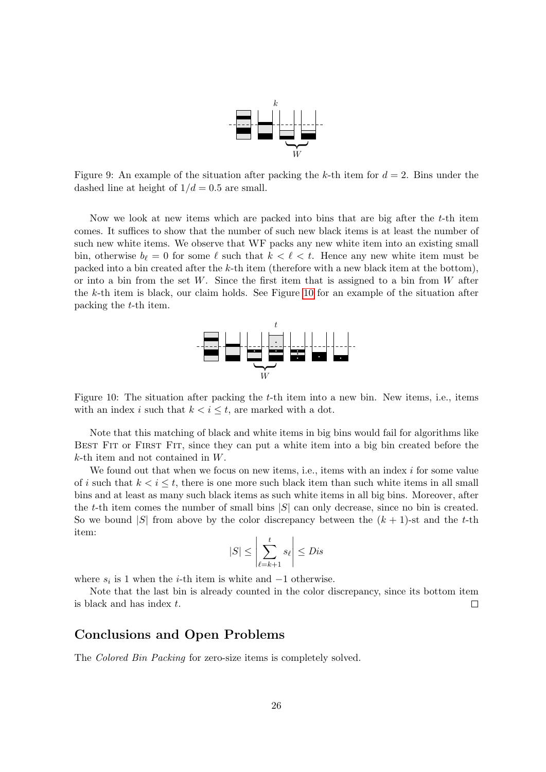

<span id="page-25-0"></span>Figure 9: An example of the situation after packing the k-th item for  $d = 2$ . Bins under the dashed line at height of  $1/d = 0.5$  are small.

Now we look at new items which are packed into bins that are big after the  $t$ -th item comes. It suffices to show that the number of such new black items is at least the number of such new white items. We observe that WF packs any new white item into an existing small bin, otherwise  $b_\ell = 0$  for some  $\ell$  such that  $k < \ell < t$ . Hence any new white item must be packed into a bin created after the  $k$ -th item (therefore with a new black item at the bottom), or into a bin from the set  $W$ . Since the first item that is assigned to a bin from  $W$  after the k-th item is black, our claim holds. See Figure [10](#page-25-1) for an example of the situation after packing the t-th item.



<span id="page-25-1"></span>Figure 10: The situation after packing the t-th item into a new bin. New items, i.e., items with an index i such that  $k < i \leq t$ , are marked with a dot.

Note that this matching of black and white items in big bins would fail for algorithms like BEST FIT or FIRST FIT, since they can put a white item into a big bin created before the k-th item and not contained in W.

We found out that when we focus on new items, i.e., items with an index i for some value of i such that  $k \lt i \leq t$ , there is one more such black item than such white items in all small bins and at least as many such black items as such white items in all big bins. Moreover, after the t-th item comes the number of small bins  $|S|$  can only decrease, since no bin is created. So we bound |S| from above by the color discrepancy between the  $(k + 1)$ -st and the t-th item:

$$
|S| \le \left| \sum_{\ell=k+1}^t s_\ell \right| \le Dis
$$

where  $s_i$  is 1 when the *i*-th item is white and  $-1$  otherwise.

Note that the last bin is already counted in the color discrepancy, since its bottom item is black and has index t.  $\Box$ 

### Conclusions and Open Problems

The Colored Bin Packing for zero-size items is completely solved.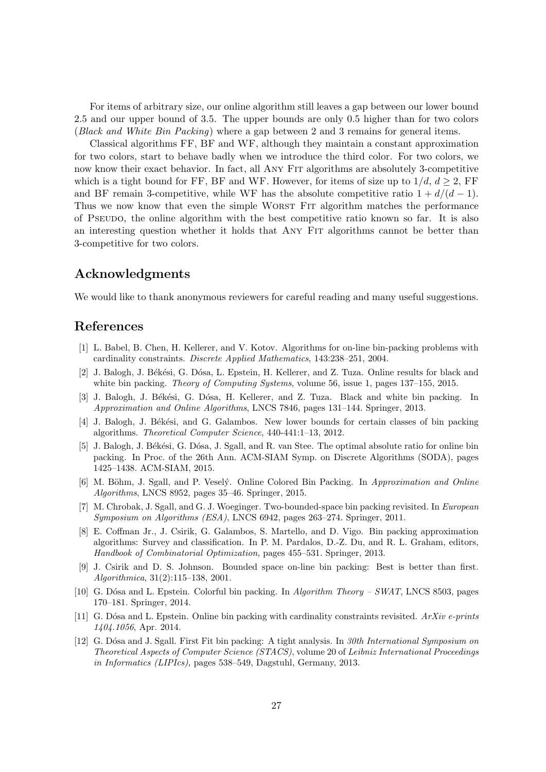For items of arbitrary size, our online algorithm still leaves a gap between our lower bound 2.5 and our upper bound of 3.5. The upper bounds are only 0.5 higher than for two colors (Black and White Bin Packing) where a gap between 2 and 3 remains for general items.

Classical algorithms FF, BF and WF, although they maintain a constant approximation for two colors, start to behave badly when we introduce the third color. For two colors, we now know their exact behavior. In fact, all Any Fit algorithms are absolutely 3-competitive which is a tight bound for FF, BF and WF. However, for items of size up to  $1/d, d \geq 2$ , FF and BF remain 3-competitive, while WF has the absolute competitive ratio  $1 + d/(d-1)$ . Thus we now know that even the simple WORST FIT algorithm matches the performance of Pseudo, the online algorithm with the best competitive ratio known so far. It is also an interesting question whether it holds that Any Fit algorithms cannot be better than 3-competitive for two colors.

### Acknowledgments

We would like to thank anonymous reviewers for careful reading and many useful suggestions.

### References

- <span id="page-26-8"></span>[1] L. Babel, B. Chen, H. Kellerer, and V. Kotov. Algorithms for on-line bin-packing problems with cardinality constraints. Discrete Applied Mathematics, 143:238–251, 2004.
- <span id="page-26-1"></span>[2] J. Balogh, J. Békési, G. Dósa, L. Epstein, H. Kellerer, and Z. Tuza. Online results for black and white bin packing. *Theory of Computing Systems*, volume 56, issue 1, pages 137–155, 2015.
- <span id="page-26-0"></span>[3] J. Balogh, J. Békési, G. Dósa, H. Kellerer, and Z. Tuza. Black and white bin packing. In Approximation and Online Algorithms, LNCS 7846, pages 131–144. Springer, 2013.
- <span id="page-26-3"></span>[4] J. Balogh, J. Békési, and G. Galambos. New lower bounds for certain classes of bin packing algorithms. Theoretical Computer Science, 440-441:1–13, 2012.
- <span id="page-26-4"></span>[5] J. Balogh, J. Békési, G. Dósa, J. Sgall, and R. van Stee. The optimal absolute ratio for online bin packing. In Proc. of the 26th Ann. ACM-SIAM Symp. on Discrete Algorithms (SODA), pages 1425–1438. ACM-SIAM, 2015.
- [6] M. Böhm, J. Sgall, and P. Vesely. Online Colored Bin Packing. In Approximation and Online Algorithms, LNCS 8952, pages 35–46. Springer, 2015.
- <span id="page-26-7"></span>[7] M. Chrobak, J. Sgall, and G. J. Woeginger. Two-bounded-space bin packing revisited. In European Symposium on Algorithms (ESA), LNCS 6942, pages 263–274. Springer, 2011.
- <span id="page-26-2"></span>[8] E. Coffman Jr., J. Csirik, G. Galambos, S. Martello, and D. Vigo. Bin packing approximation algorithms: Survey and classification. In P. M. Pardalos, D.-Z. Du, and R. L. Graham, editors, Handbook of Combinatorial Optimization, pages 455–531. Springer, 2013.
- <span id="page-26-6"></span>[9] J. Csirik and D. S. Johnson. Bounded space on-line bin packing: Best is better than first. Algorithmica, 31(2):115–138, 2001.
- [10] G. Dósa and L. Epstein. Colorful bin packing. In Algorithm Theory SWAT, LNCS 8503, pages 170–181. Springer, 2014.
- <span id="page-26-9"></span>[11] G. Dósa and L. Epstein. Online bin packing with cardinality constraints revisited.  $ArXiv$  e-prints 1404.1056, Apr. 2014.
- <span id="page-26-5"></span>[12] G. Dósa and J. Sgall. First Fit bin packing: A tight analysis. In 30th International Symposium on Theoretical Aspects of Computer Science (STACS), volume 20 of Leibniz International Proceedings in Informatics (LIPIcs), pages 538–549, Dagstuhl, Germany, 2013.